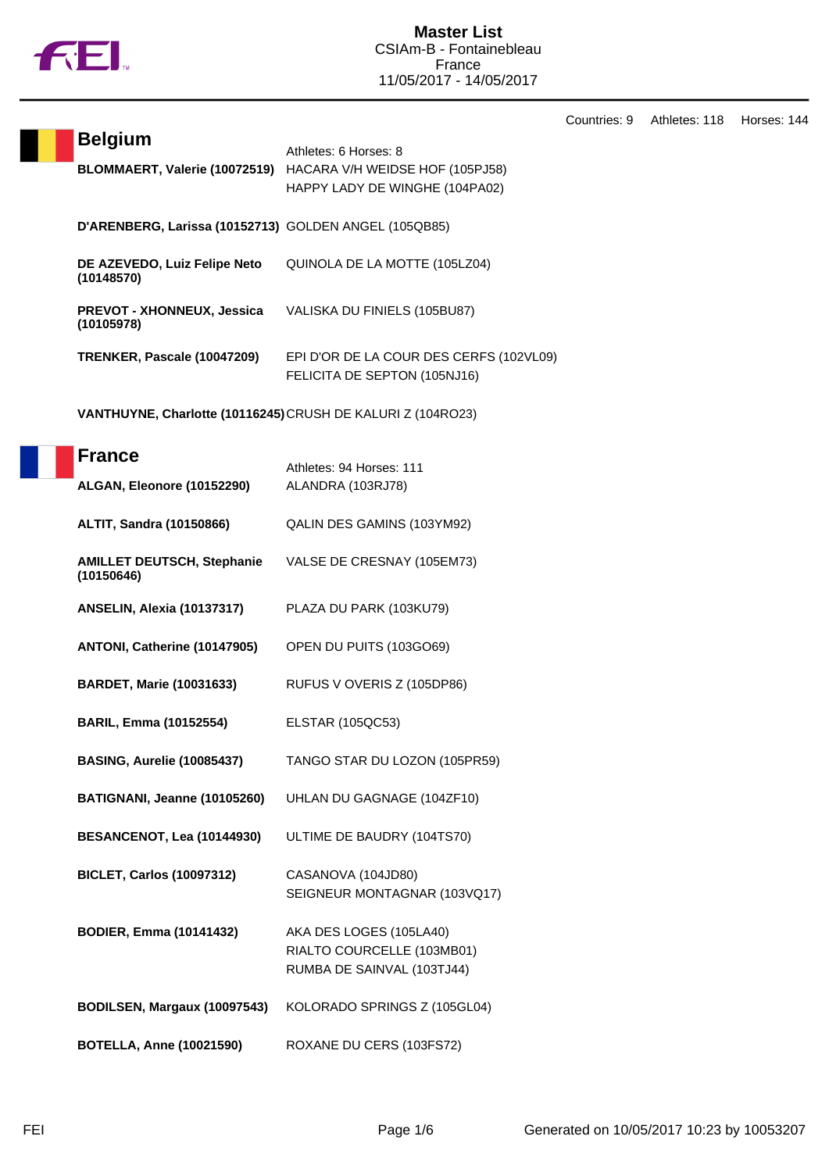

**Belgium** Athletes: 6 Horses: 8

**BLOMMAERT, Valerie (10072519)** HACARA V/H WEIDSE HOF (105PJ58)

|                                                             | HAPPY LADY DE WINGHE (104PA02)                                          |
|-------------------------------------------------------------|-------------------------------------------------------------------------|
| D'ARENBERG, Larissa (10152713) GOLDEN ANGEL (105QB85)       |                                                                         |
| DE AZEVEDO, Luiz Felipe Neto<br>(10148570)                  | QUINOLA DE LA MOTTE (105LZ04)                                           |
| <b>PREVOT - XHONNEUX, Jessica</b><br>(10105978)             | VALISKA DU FINIELS (105BU87)                                            |
| TRENKER, Pascale (10047209)                                 | EPI D'OR DE LA COUR DES CERFS (102VL09)<br>FELICITA DE SEPTON (105NJ16) |
| VANTHUYNE, Charlotte (10116245) CRUSH DE KALURI Z (104RO23) |                                                                         |
| <b>France</b><br>ALGAN, Eleonore (10152290)                 | Athletes: 94 Horses: 111<br>ALANDRA (103RJ78)                           |
| <b>ALTIT, Sandra (10150866)</b>                             | QALIN DES GAMINS (103YM92)                                              |
| <b>AMILLET DEUTSCH, Stephanie</b><br>(10150646)             | VALSE DE CRESNAY (105EM73)                                              |
| <b>ANSELIN, Alexia (10137317)</b>                           | PLAZA DU PARK (103KU79)                                                 |
| ANTONI, Catherine (10147905)                                | OPEN DU PUITS (103GO69)                                                 |
| <b>BARDET, Marie (10031633)</b>                             | RUFUS V OVERIS Z (105DP86)                                              |
| <b>BARIL, Emma (10152554)</b>                               | ELSTAR (105QC53)                                                        |
| <b>BASING, Aurelie (10085437)</b>                           | TANGO STAR DU LOZON (105PR59)                                           |
| BATIGNANI, Jeanne (10105260)                                | UHLAN DU GAGNAGE (104ZF10)                                              |
| <b>BESANCENOT, Lea (10144930)</b>                           | ULTIME DE BAUDRY (104TS70)                                              |
| <b>BICLET, Carlos (10097312)</b>                            | CASANOVA (104JD80)<br>SEIGNEUR MONTAGNAR (103VQ17)                      |

**BODIER, Emma (10141432)** AKA DES LOGES (105LA40) RIALTO COURCELLE (103MB01) RUMBA DE SAINVAL (103TJ44)

**BODILSEN, Margaux (10097543)** KOLORADO SPRINGS Z (105GL04)

**BOTELLA, Anne (10021590)** ROXANE DU CERS (103FS72)

Countries: 9 Athletes: 118 Horses: 144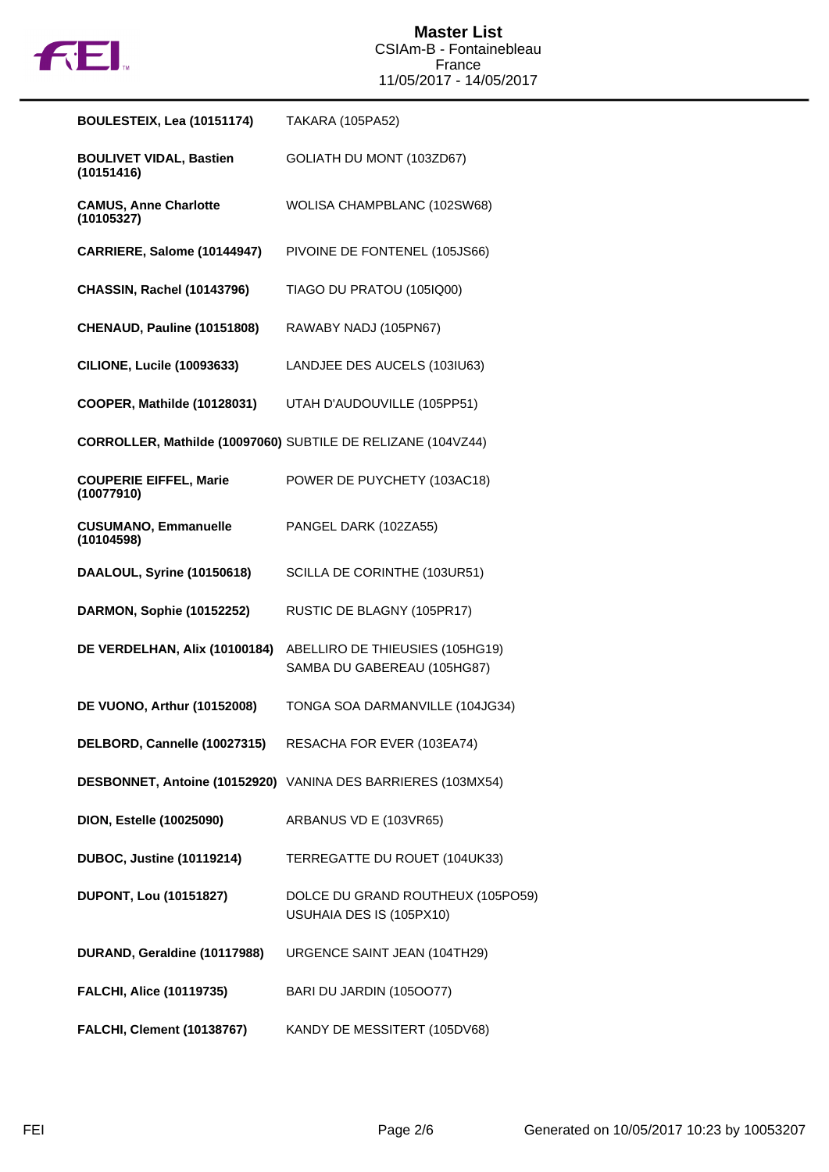

| BOULESTEIX, Lea (10151174)                   | TAKARA (105PA52)                                               |
|----------------------------------------------|----------------------------------------------------------------|
| <b>BOULIVET VIDAL, Bastien</b><br>(10151416) | GOLIATH DU MONT (103ZD67)                                      |
| <b>CAMUS, Anne Charlotte</b><br>(10105327)   | WOLISA CHAMPBLANC (102SW68)                                    |
| CARRIERE, Salome (10144947)                  | PIVOINE DE FONTENEL (105JS66)                                  |
| <b>CHASSIN, Rachel (10143796)</b>            | TIAGO DU PRATOU (105IQ00)                                      |
| CHENAUD, Pauline (10151808)                  | RAWABY NADJ (105PN67)                                          |
| <b>CILIONE, Lucile (10093633)</b>            | LANDJEE DES AUCELS (103IU63)                                   |
| COOPER, Mathilde (10128031)                  | UTAH D'AUDOUVILLE (105PP51)                                    |
|                                              | CORROLLER, Mathilde (10097060) SUBTILE DE RELIZANE (104VZ44)   |
| <b>COUPERIE EIFFEL, Marie</b><br>(10077910)  | POWER DE PUYCHETY (103AC18)                                    |
| <b>CUSUMANO, Emmanuelle</b><br>(10104598)    | PANGEL DARK (102ZA55)                                          |
| DAALOUL, Syrine (10150618)                   | SCILLA DE CORINTHE (103UR51)                                   |
| DARMON, Sophie (10152252)                    | RUSTIC DE BLAGNY (105PR17)                                     |
| DE VERDELHAN, Alix (10100184)                | ABELLIRO DE THIEUSIES (105HG19)<br>SAMBA DU GABEREAU (105HG87) |
| DE VUONO, Arthur (10152008)                  | TONGA SOA DARMANVILLE (104JG34)                                |
| DELBORD, Cannelle (10027315)                 | RESACHA FOR EVER (103EA74)                                     |
|                                              | DESBONNET, Antoine (10152920) VANINA DES BARRIERES (103MX54)   |
| <b>DION, Estelle (10025090)</b>              | ARBANUS VD E (103VR65)                                         |
| <b>DUBOC, Justine (10119214)</b>             | TERREGATTE DU ROUET (104UK33)                                  |
| <b>DUPONT, Lou (10151827)</b>                | DOLCE DU GRAND ROUTHEUX (105PO59)<br>USUHAIA DES IS (105PX10)  |
| DURAND, Geraldine (10117988)                 | URGENCE SAINT JEAN (104TH29)                                   |
| <b>FALCHI, Alice (10119735)</b>              | BARI DU JARDIN (1050077)                                       |
| <b>FALCHI, Clement (10138767)</b>            | KANDY DE MESSITERT (105DV68)                                   |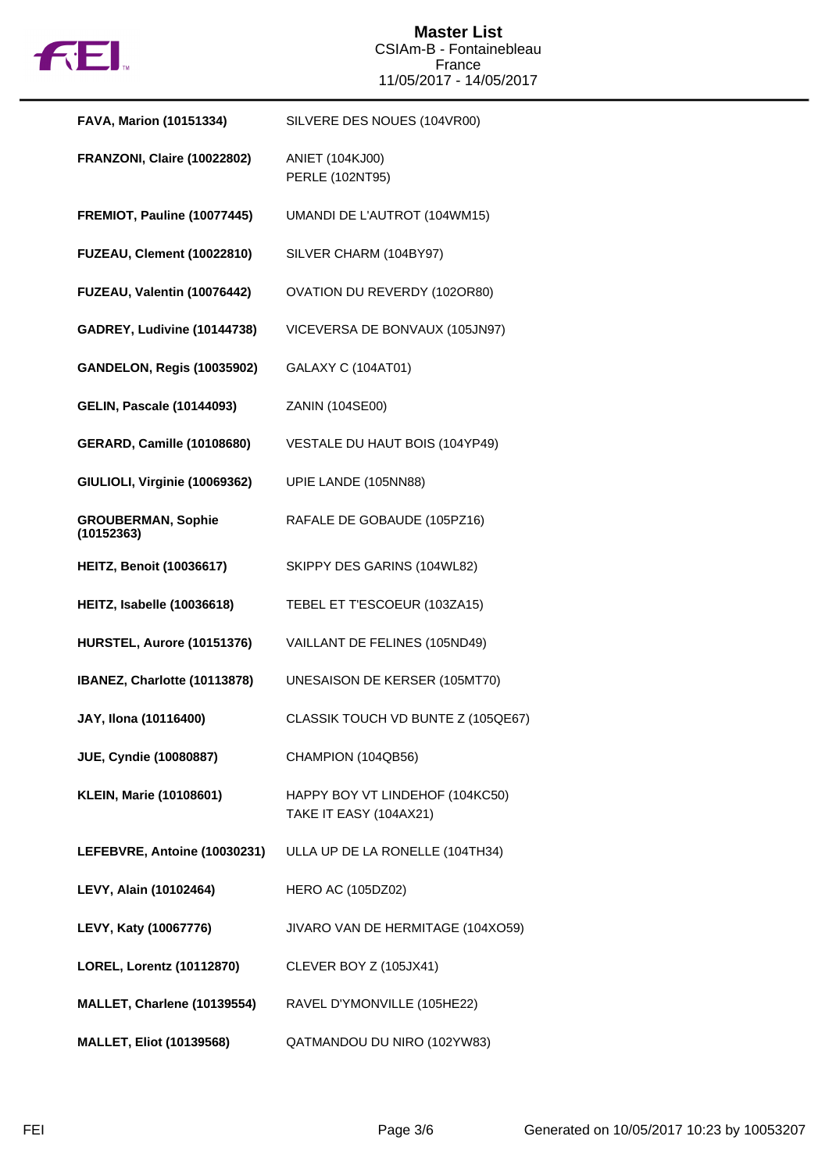

| <b>FAVA, Marion (10151334)</b>          | SILVERE DES NOUES (104VR00)                               |
|-----------------------------------------|-----------------------------------------------------------|
| FRANZONI, Claire (10022802)             | ANIET (104KJ00)<br>PERLE (102NT95)                        |
| <b>FREMIOT, Pauline (10077445)</b>      | UMANDI DE L'AUTROT (104WM15)                              |
| <b>FUZEAU, Clement (10022810)</b>       | SILVER CHARM (104BY97)                                    |
| FUZEAU, Valentin (10076442)             | OVATION DU REVERDY (102OR80)                              |
| GADREY, Ludivine (10144738)             | VICEVERSA DE BONVAUX (105JN97)                            |
| <b>GANDELON, Regis (10035902)</b>       | GALAXY C (104AT01)                                        |
| <b>GELIN, Pascale (10144093)</b>        | ZANIN (104SE00)                                           |
| <b>GERARD, Camille (10108680)</b>       | VESTALE DU HAUT BOIS (104YP49)                            |
| GIULIOLI, Virginie (10069362)           | UPIE LANDE (105NN88)                                      |
| <b>GROUBERMAN, Sophie</b><br>(10152363) | RAFALE DE GOBAUDE (105PZ16)                               |
| <b>HEITZ, Benoit (10036617)</b>         | SKIPPY DES GARINS (104WL82)                               |
| HEITZ, Isabelle (10036618)              | TEBEL ET T'ESCOEUR (103ZA15)                              |
| HURSTEL, Aurore (10151376)              | VAILLANT DE FELINES (105ND49)                             |
| IBANEZ, Charlotte (10113878)            | UNESAISON DE KERSER (105MT70)                             |
| JAY, Ilona (10116400)                   | CLASSIK TOUCH VD BUNTE Z (105QE67)                        |
| <b>JUE, Cyndie (10080887)</b>           | CHAMPION (104QB56)                                        |
| <b>KLEIN, Marie (10108601)</b>          | HAPPY BOY VT LINDEHOF (104KC50)<br>TAKE IT EASY (104AX21) |
| LEFEBVRE, Antoine (10030231)            | ULLA UP DE LA RONELLE (104TH34)                           |
| LEVY, Alain (10102464)                  | <b>HERO AC (105DZ02)</b>                                  |
| LEVY, Katy (10067776)                   | JIVARO VAN DE HERMITAGE (104XO59)                         |
| LOREL, Lorentz (10112870)               | CLEVER BOY Z (105JX41)                                    |
| MALLET, Charlene (10139554)             | RAVEL D'YMONVILLE (105HE22)                               |
| <b>MALLET, Eliot (10139568)</b>         | QATMANDOU DU NIRO (102YW83)                               |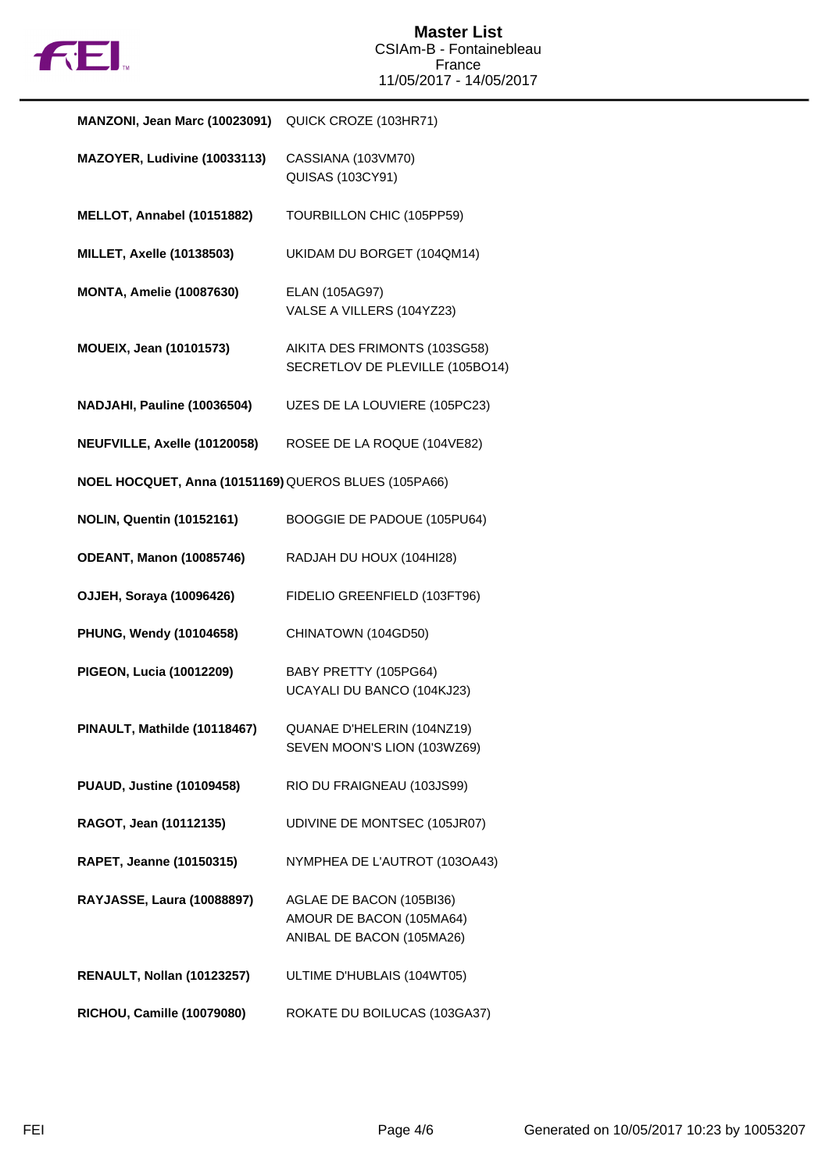

| MANZONI, Jean Marc (10023091)                        | QUICK CROZE (103HR71)                                                             |
|------------------------------------------------------|-----------------------------------------------------------------------------------|
| MAZOYER, Ludivine (10033113)                         | CASSIANA (103VM70)<br>QUISAS (103CY91)                                            |
| MELLOT, Annabel (10151882)                           | TOURBILLON CHIC (105PP59)                                                         |
| <b>MILLET, Axelle (10138503)</b>                     | UKIDAM DU BORGET (104QM14)                                                        |
| <b>MONTA, Amelie (10087630)</b>                      | ELAN (105AG97)<br>VALSE A VILLERS (104YZ23)                                       |
| <b>MOUEIX, Jean (10101573)</b>                       | AIKITA DES FRIMONTS (103SG58)<br>SECRETLOV DE PLEVILLE (105BO14)                  |
| NADJAHI, Pauline (10036504)                          | UZES DE LA LOUVIERE (105PC23)                                                     |
| NEUFVILLE, Axelle (10120058)                         | ROSEE DE LA ROQUE (104VE82)                                                       |
| NOEL HOCQUET, Anna (10151169) QUEROS BLUES (105PA66) |                                                                                   |
| <b>NOLIN, Quentin (10152161)</b>                     | BOOGGIE DE PADOUE (105PU64)                                                       |
| <b>ODEANT, Manon (10085746)</b>                      | RADJAH DU HOUX (104HI28)                                                          |
| <b>OJJEH, Soraya (10096426)</b>                      | FIDELIO GREENFIELD (103FT96)                                                      |
| PHUNG, Wendy (10104658)                              | CHINATOWN (104GD50)                                                               |
| PIGEON, Lucia (10012209)                             | BABY PRETTY (105PG64)<br>UCAYALI DU BANCO (104KJ23)                               |
| PINAULT, Mathilde (10118467)                         | QUANAE D'HELERIN (104NZ19)<br>SEVEN MOON'S LION (103WZ69)                         |
| <b>PUAUD, Justine (10109458)</b>                     | RIO DU FRAIGNEAU (103JS99)                                                        |
| RAGOT, Jean (10112135)                               | UDIVINE DE MONTSEC (105JR07)                                                      |
| RAPET, Jeanne (10150315)                             | NYMPHEA DE L'AUTROT (103OA43)                                                     |
| RAYJASSE, Laura (10088897)                           | AGLAE DE BACON (105BI36)<br>AMOUR DE BACON (105MA64)<br>ANIBAL DE BACON (105MA26) |
| RENAULT, Nollan (10123257)                           | ULTIME D'HUBLAIS (104WT05)                                                        |
| RICHOU, Camille (10079080)                           | ROKATE DU BOILUCAS (103GA37)                                                      |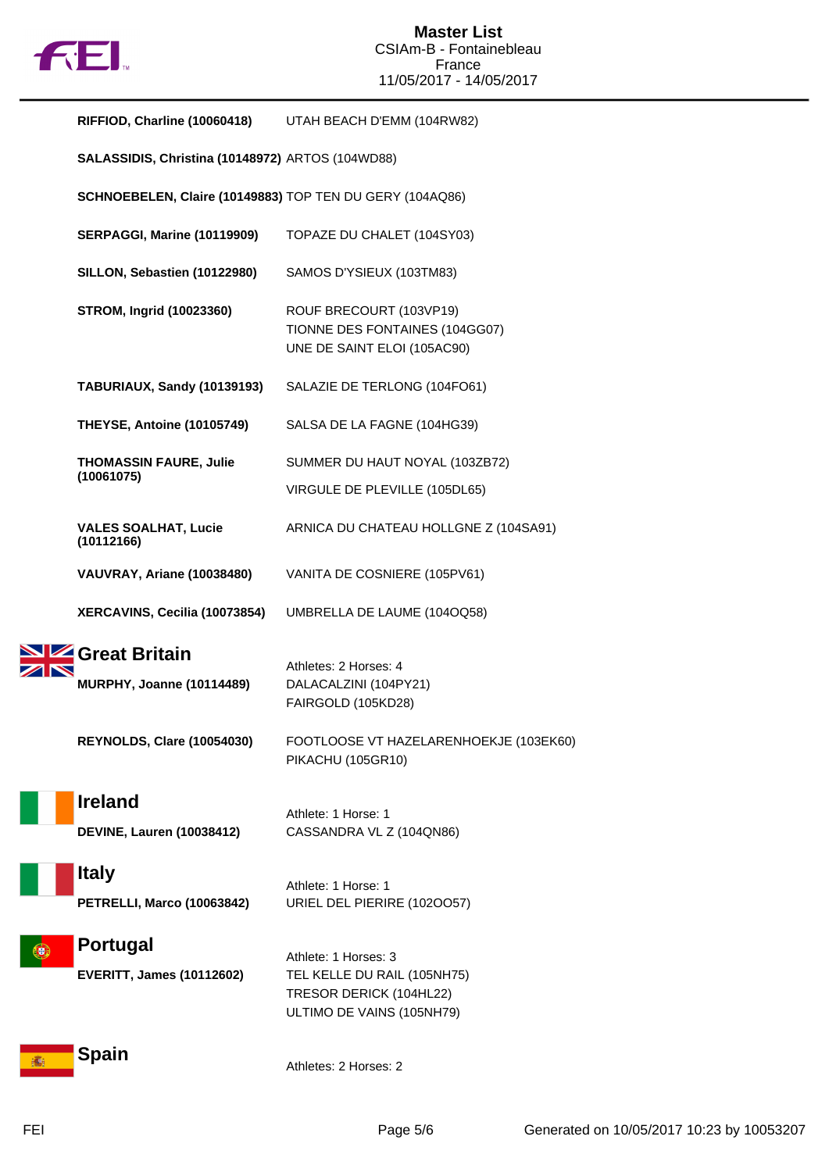

| RIFFIOD, Charline (10060418) UTAH BEACH D'EMM (104RW82)  |                                                                                                             |
|----------------------------------------------------------|-------------------------------------------------------------------------------------------------------------|
| SALASSIDIS, Christina (10148972) ARTOS (104WD88)         |                                                                                                             |
| SCHNOEBELEN, Claire (10149883) TOP TEN DU GERY (104AQ86) |                                                                                                             |
| <b>SERPAGGI, Marine (10119909)</b>                       | TOPAZE DU CHALET (104SY03)                                                                                  |
| SILLON, Sebastien (10122980)                             | SAMOS D'YSIEUX (103TM83)                                                                                    |
| <b>STROM, Ingrid (10023360)</b>                          | ROUF BRECOURT (103VP19)<br>TIONNE DES FONTAINES (104GG07)<br>UNE DE SAINT ELOI (105AC90)                    |
| TABURIAUX, Sandy (10139193)                              | SALAZIE DE TERLONG (104FO61)                                                                                |
| <b>THEYSE, Antoine (10105749)</b>                        | SALSA DE LA FAGNE (104HG39)                                                                                 |
| <b>THOMASSIN FAURE, Julie</b>                            | SUMMER DU HAUT NOYAL (103ZB72)                                                                              |
| (10061075)                                               | VIRGULE DE PLEVILLE (105DL65)                                                                               |
| <b>VALES SOALHAT, Lucie</b><br>(10112166)                | ARNICA DU CHATEAU HOLLGNE Z (104SA91)                                                                       |
| VAUVRAY, Ariane (10038480)                               | VANITA DE COSNIERE (105PV61)                                                                                |
| XERCAVINS, Cecilia (10073854)                            | UMBRELLA DE LAUME (104OQ58)                                                                                 |
| Great Britain<br><b>MURPHY, Joanne (10114489)</b>        | Athletes: 2 Horses: 4<br>DALACALZINI (104PY21)<br>FAIRGOLD (105KD28)                                        |
| REYNOLDS, Clare (10054030)                               | FOOTLOOSE VT HAZELARENHOEKJE (103EK60)<br><b>PIKACHU (105GR10)</b>                                          |
| <b>Ireland</b><br><b>DEVINE, Lauren (10038412)</b>       | Athlete: 1 Horse: 1<br>CASSANDRA VL Z (104QN86)                                                             |
| <b>Italy</b><br><b>PETRELLI, Marco (10063842)</b>        | Athlete: 1 Horse: 1<br>URIEL DEL PIERIRE (1020057)                                                          |
| Portugal<br><b>EVERITT, James (10112602)</b>             | Athlete: 1 Horses: 3<br>TEL KELLE DU RAIL (105NH75)<br>TRESOR DERICK (104HL22)<br>ULTIMO DE VAINS (105NH79) |
| Spain                                                    | Athletes: 2 Horses: 2                                                                                       |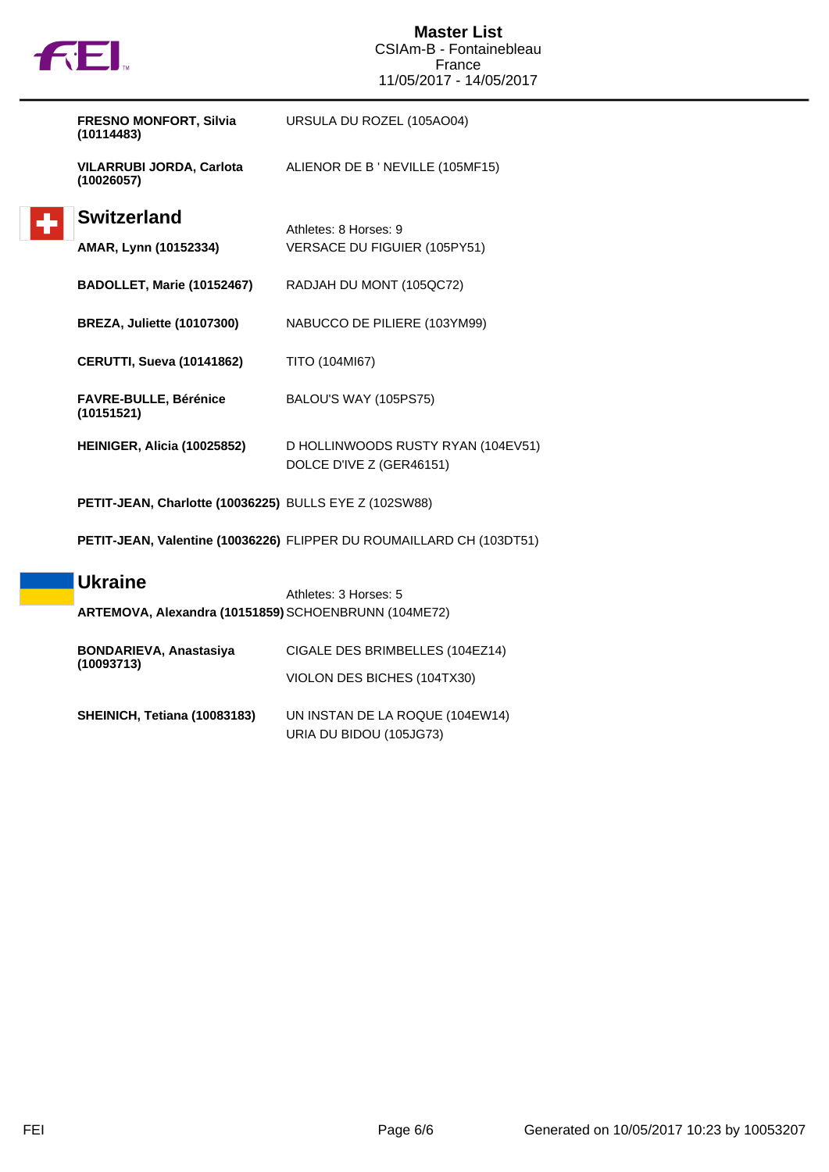

٠

| <b>FRESNO MONFORT, Silvia</b><br>(10114483)            | URSULA DU ROZEL (105AO04)                                            |
|--------------------------------------------------------|----------------------------------------------------------------------|
| <b>VILARRUBI JORDA, Carlota</b><br>(10026057)          | ALIENOR DE B ' NEVILLE (105MF15)                                     |
| <b>Switzerland</b>                                     | Athletes: 8 Horses: 9                                                |
| AMAR, Lynn (10152334)                                  | VERSACE DU FIGUIER (105PY51)                                         |
| BADOLLET, Marie (10152467)                             | RADJAH DU MONT (105QC72)                                             |
| <b>BREZA, Juliette (10107300)</b>                      | NABUCCO DE PILIERE (103YM99)                                         |
| <b>CERUTTI, Sueva (10141862)</b>                       | TITO (104MI67)                                                       |
| <b>FAVRE-BULLE, Bérénice</b><br>(10151521)             | BALOU'S WAY (105PS75)                                                |
| HEINIGER, Alicia (10025852)                            | D HOLLINWOODS RUSTY RYAN (104EV51)<br>DOLCE D'IVE Z (GER46151)       |
| PETIT-JEAN, Charlotte (10036225) BULLS EYE Z (102SW88) |                                                                      |
|                                                        | PETIT-JEAN, Valentine (10036226) FLIPPER DU ROUMAILLARD CH (103DT51) |
| <b>Ukraine</b>                                         | Athletes: 3 Horses: 5                                                |
| ARTEMOVA, Alexandra (10151859) SCHOENBRUNN (104ME72)   |                                                                      |
| <b>BONDARIEVA, Anastasiya</b>                          | CIGALE DES BRIMBELLES (104EZ14)                                      |
| (10093713)                                             | VIOLON DES BICHES (104TX30)                                          |
| SHEINICH, Tetiana (10083183)                           | UN INSTAN DE LA ROQUE (104EW14)                                      |

URIA DU BIDOU (105JG73)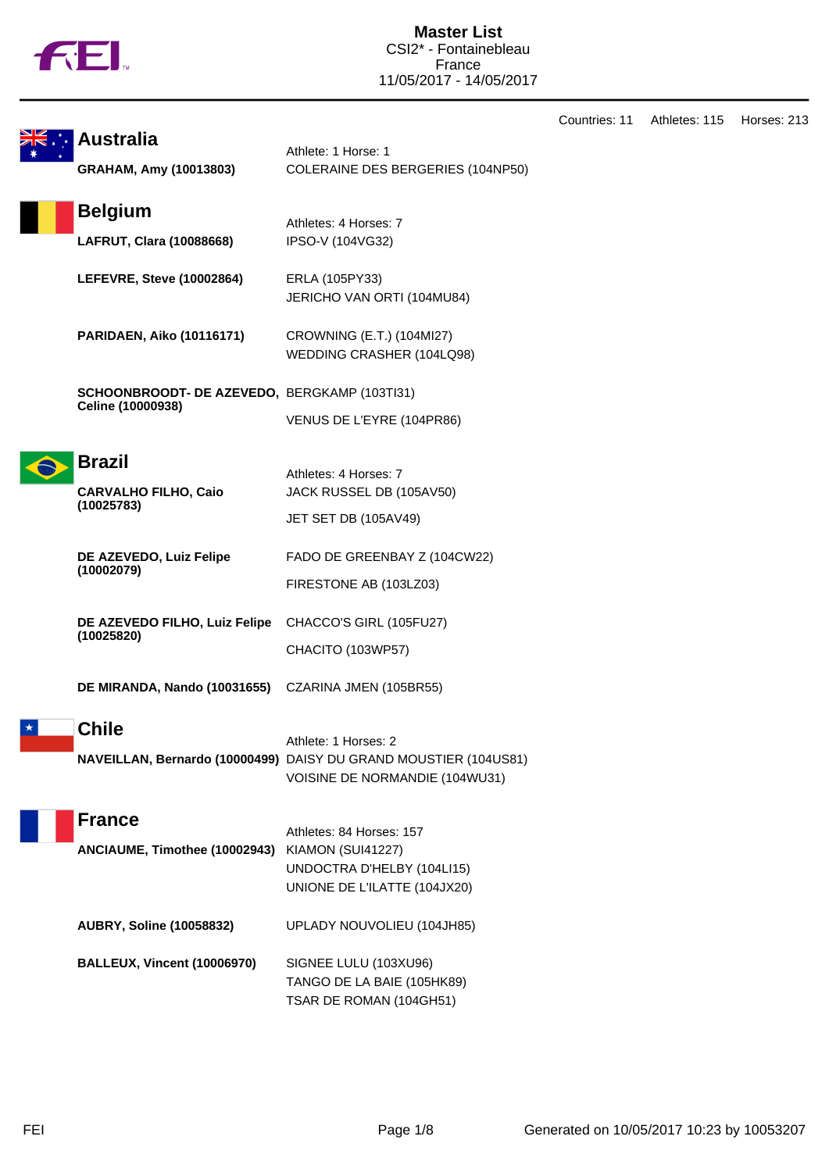

|                                                     |                                                                                          | Countries: 11 | Athletes: 115 | Horses: 213 |
|-----------------------------------------------------|------------------------------------------------------------------------------------------|---------------|---------------|-------------|
| <b>Australia</b>                                    | Athlete: 1 Horse: 1                                                                      |               |               |             |
| GRAHAM, Amy (10013803)                              | COLERAINE DES BERGERIES (104NP50)                                                        |               |               |             |
| <b>Belgium</b>                                      | Athletes: 4 Horses: 7                                                                    |               |               |             |
| LAFRUT, Clara (10088668)                            | IPSO-V (104VG32)                                                                         |               |               |             |
| LEFEVRE, Steve (10002864)                           | ERLA (105PY33)<br>JERICHO VAN ORTI (104MU84)                                             |               |               |             |
| <b>PARIDAEN, Aiko (10116171)</b>                    | CROWNING (E.T.) (104MI27)<br>WEDDING CRASHER (104LQ98)                                   |               |               |             |
| SCHOONBROODT- DE AZEVEDO, BERGKAMP (103TI31)        |                                                                                          |               |               |             |
| Celine (10000938)                                   | VENUS DE L'EYRE (104PR86)                                                                |               |               |             |
| <b>Brazil</b>                                       |                                                                                          |               |               |             |
| <b>CARVALHO FILHO, Caio</b>                         | Athletes: 4 Horses: 7<br>JACK RUSSEL DB (105AV50)                                        |               |               |             |
| (10025783)                                          | JET SET DB (105AV49)                                                                     |               |               |             |
| DE AZEVEDO, Luiz Felipe                             | FADO DE GREENBAY Z (104CW22)                                                             |               |               |             |
| (10002079)                                          | FIRESTONE AB (103LZ03)                                                                   |               |               |             |
| DE AZEVEDO FILHO, Luiz Felipe                       | CHACCO'S GIRL (105FU27)                                                                  |               |               |             |
| (10025820)                                          | CHACITO (103WP57)                                                                        |               |               |             |
| DE MIRANDA, Nando (10031655) CZARINA JMEN (105BR55) |                                                                                          |               |               |             |
| <b>Chile</b>                                        |                                                                                          |               |               |             |
|                                                     | Athlete: 1 Horses: 2<br>NAVEILLAN, Bernardo (10000499) DAISY DU GRAND MOUSTIER (104US81) |               |               |             |
|                                                     | VOISINE DE NORMANDIE (104WU31)                                                           |               |               |             |
| <b>France</b>                                       |                                                                                          |               |               |             |
| ANCIAUME, Timothee (10002943)                       | Athletes: 84 Horses: 157<br>KIAMON (SUI41227)                                            |               |               |             |
|                                                     | UNDOCTRA D'HELBY (104LI15)                                                               |               |               |             |
|                                                     | UNIONE DE L'ILATTE (104JX20)                                                             |               |               |             |
| <b>AUBRY, Soline (10058832)</b>                     | UPLADY NOUVOLIEU (104JH85)                                                               |               |               |             |
| <b>BALLEUX, Vincent (10006970)</b>                  | SIGNEE LULU (103XU96)                                                                    |               |               |             |
|                                                     | TANGO DE LA BAIE (105HK89)                                                               |               |               |             |
|                                                     | TSAR DE ROMAN (104GH51)                                                                  |               |               |             |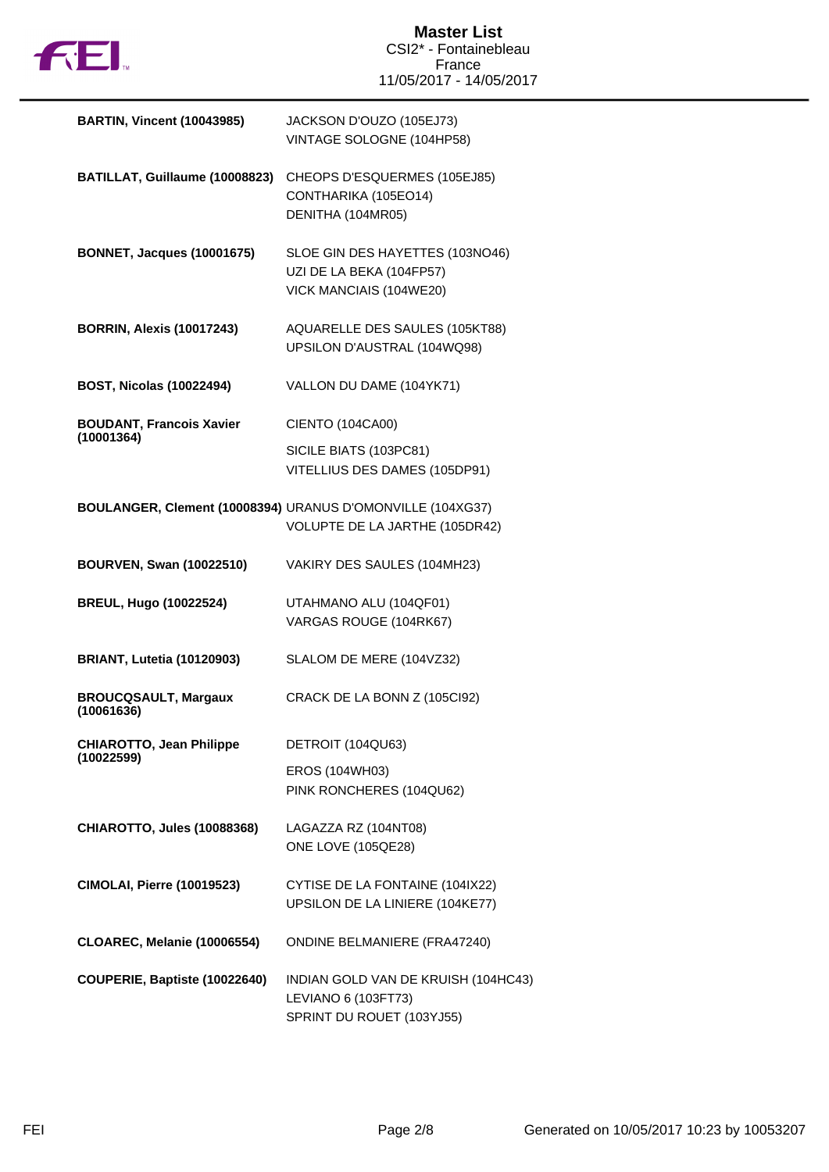

| <b>BARTIN, Vincent (10043985)</b>             | JACKSON D'OUZO (105EJ73)<br>VINTAGE SOLOGNE (104HP58)                                        |
|-----------------------------------------------|----------------------------------------------------------------------------------------------|
| BATILLAT, Guillaume (10008823)                | CHEOPS D'ESQUERMES (105EJ85)<br>CONTHARIKA (105EO14)<br>DENITHA (104MR05)                    |
| <b>BONNET, Jacques (10001675)</b>             | SLOE GIN DES HAYETTES (103NO46)<br>UZI DE LA BEKA (104FP57)<br>VICK MANCIAIS (104WE20)       |
| <b>BORRIN, Alexis (10017243)</b>              | AQUARELLE DES SAULES (105KT88)<br>UPSILON D'AUSTRAL (104WQ98)                                |
| <b>BOST, Nicolas (10022494)</b>               | VALLON DU DAME (104YK71)                                                                     |
| <b>BOUDANT, Francois Xavier</b><br>(10001364) | CIENTO (104CA00)                                                                             |
|                                               | SICILE BIATS (103PC81)<br>VITELLIUS DES DAMES (105DP91)                                      |
|                                               | BOULANGER, Clement (10008394) URANUS D'OMONVILLE (104XG37)<br>VOLUPTE DE LA JARTHE (105DR42) |
| <b>BOURVEN, Swan (10022510)</b>               | VAKIRY DES SAULES (104MH23)                                                                  |
| <b>BREUL, Hugo (10022524)</b>                 | UTAHMANO ALU (104QF01)                                                                       |
|                                               | VARGAS ROUGE (104RK67)                                                                       |
| <b>BRIANT, Lutetia (10120903)</b>             | SLALOM DE MERE (104VZ32)                                                                     |
| <b>BROUCQSAULT, Margaux</b><br>(10061636)     | CRACK DE LA BONN Z (105Cl92)                                                                 |
| <b>CHIAROTTO, Jean Philippe</b><br>(10022599) | DETROIT (104QU63)                                                                            |
|                                               | EROS (104WH03)<br>PINK RONCHERES (104QU62)                                                   |
| <b>CHIAROTTO, Jules (10088368)</b>            | LAGAZZA RZ (104NT08)<br>ONE LOVE (105QE28)                                                   |
| <b>CIMOLAI, Pierre (10019523)</b>             | CYTISE DE LA FONTAINE (104IX22)<br>UPSILON DE LA LINIERE (104KE77)                           |
| CLOAREC, Melanie (10006554)                   | <b>ONDINE BELMANIERE (FRA47240)</b>                                                          |
| COUPERIE, Baptiste (10022640)                 | INDIAN GOLD VAN DE KRUISH (104HC43)<br>LEVIANO 6 (103FT73)<br>SPRINT DU ROUET (103YJ55)      |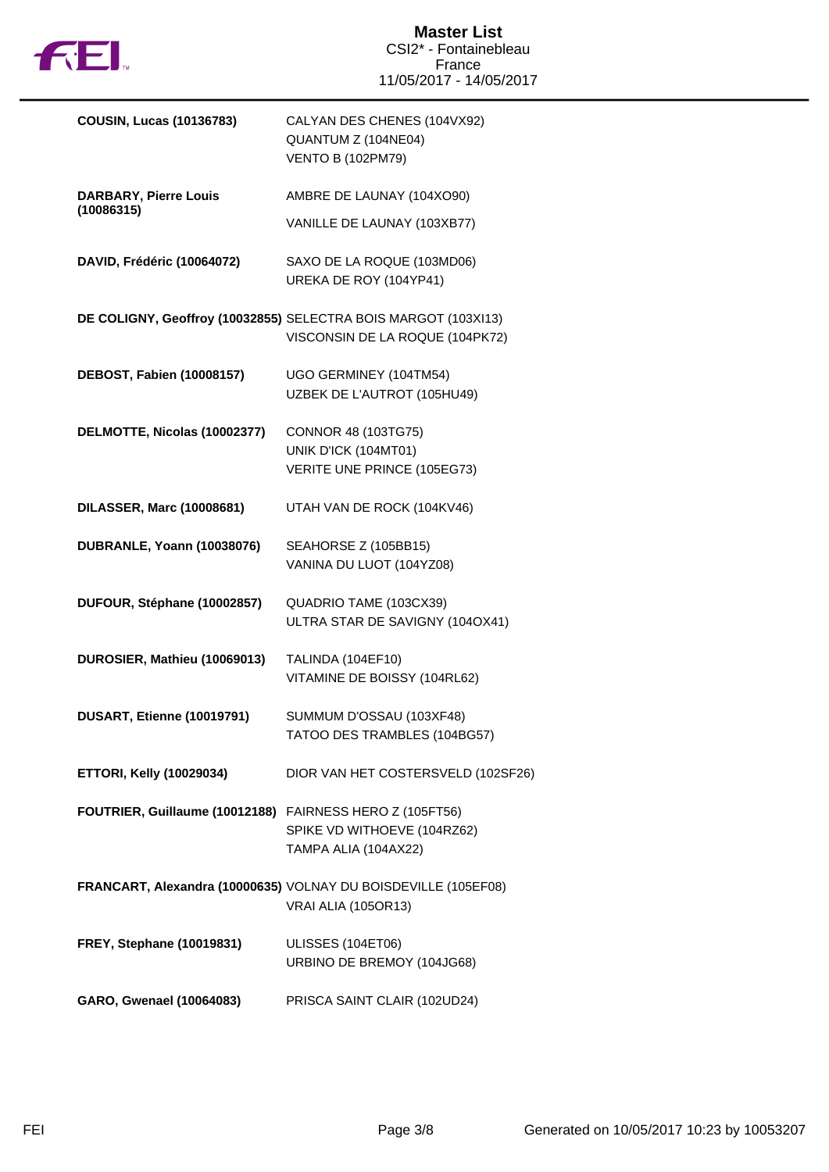

| <b>COUSIN, Lucas (10136783)</b>                          | CALYAN DES CHENES (104VX92)<br>QUANTUM Z (104NE04)<br><b>VENTO B (102PM79)</b>                    |
|----------------------------------------------------------|---------------------------------------------------------------------------------------------------|
| <b>DARBARY, Pierre Louis</b>                             | AMBRE DE LAUNAY (104XO90)                                                                         |
| (10086315)                                               | VANILLE DE LAUNAY (103XB77)                                                                       |
| DAVID, Frédéric (10064072)                               | SAXO DE LA ROQUE (103MD06)<br>UREKA DE ROY (104YP41)                                              |
|                                                          | DE COLIGNY, Geoffroy (10032855) SELECTRA BOIS MARGOT (103XI13)<br>VISCONSIN DE LA ROQUE (104PK72) |
| DEBOST, Fabien (10008157)                                | UGO GERMINEY (104TM54)<br>UZBEK DE L'AUTROT (105HU49)                                             |
| DELMOTTE, Nicolas (10002377)                             | CONNOR 48 (103TG75)                                                                               |
|                                                          | UNIK D'ICK (104MT01)<br>VERITE UNE PRINCE (105EG73)                                               |
|                                                          |                                                                                                   |
| <b>DILASSER, Marc (10008681)</b>                         | UTAH VAN DE ROCK (104KV46)                                                                        |
| DUBRANLE, Yoann (10038076)                               | SEAHORSE Z (105BB15)                                                                              |
|                                                          | VANINA DU LUOT (104YZ08)                                                                          |
| DUFOUR, Stéphane (10002857)                              | QUADRIO TAME (103CX39)                                                                            |
|                                                          | ULTRA STAR DE SAVIGNY (104OX41)                                                                   |
| DUROSIER, Mathieu (10069013)                             | <b>TALINDA (104EF10)</b>                                                                          |
|                                                          | VITAMINE DE BOISSY (104RL62)                                                                      |
| DUSART, Etienne (10019791)                               | SUMMUM D'OSSAU (103XF48)                                                                          |
|                                                          | TATOO DES TRAMBLES (104BG57)                                                                      |
| <b>ETTORI, Kelly (10029034)</b>                          | DIOR VAN HET COSTERSVELD (102SF26)                                                                |
| FOUTRIER, Guillaume (10012188) FAIRNESS HERO Z (105FT56) |                                                                                                   |
|                                                          | SPIKE VD WITHOEVE (104RZ62)                                                                       |
|                                                          | TAMPA ALIA (104AX22)                                                                              |
|                                                          | FRANCART, Alexandra (10000635) VOLNAY DU BOISDEVILLE (105EF08)                                    |
|                                                          | VRAI ALIA (105OR13)                                                                               |
| <b>FREY, Stephane (10019831)</b>                         | ULISSES (104ET06)                                                                                 |
|                                                          | URBINO DE BREMOY (104JG68)                                                                        |
| GARO, Gwenael (10064083)                                 | PRISCA SAINT CLAIR (102UD24)                                                                      |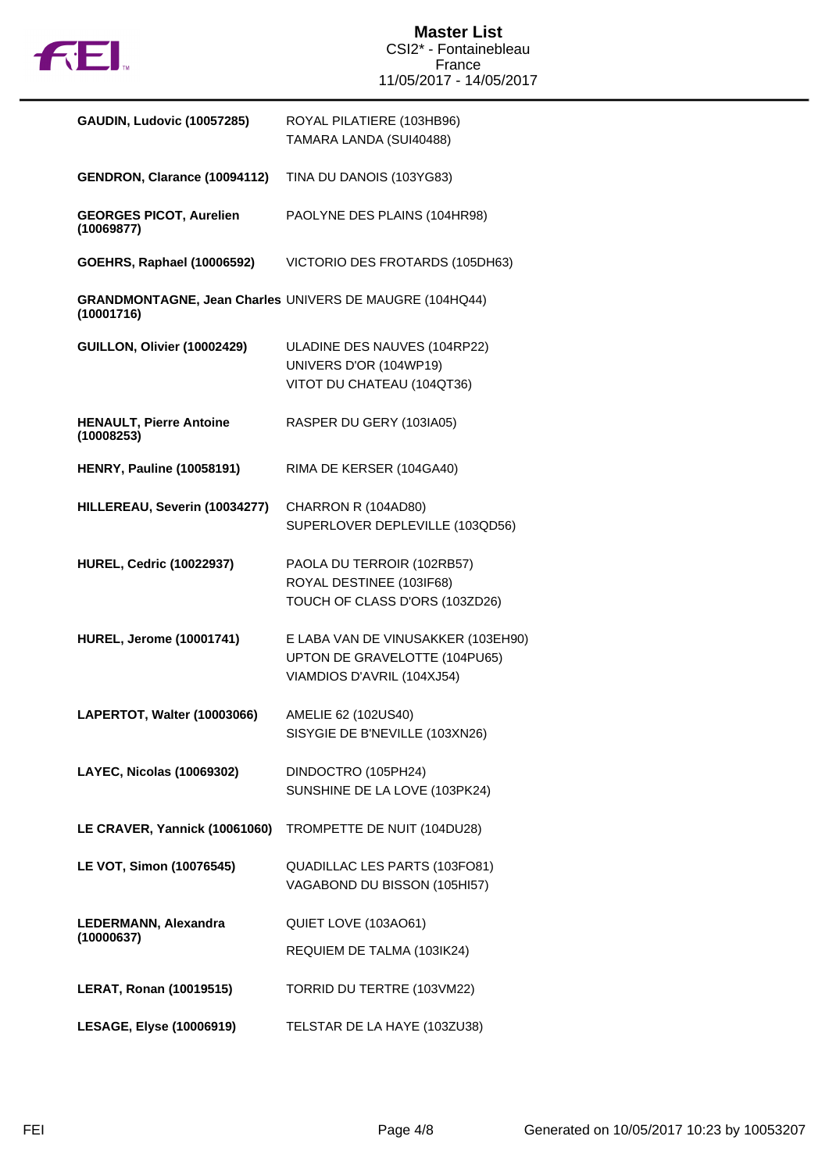

| <b>GAUDIN, Ludovic (10057285)</b>            | ROYAL PILATIERE (103HB96)<br>TAMARA LANDA (SUI40488)                                              |
|----------------------------------------------|---------------------------------------------------------------------------------------------------|
| GENDRON, Clarance (10094112)                 | TINA DU DANOIS (103YG83)                                                                          |
| <b>GEORGES PICOT, Aurelien</b><br>(10069877) | PAOLYNE DES PLAINS (104HR98)                                                                      |
| <b>GOEHRS, Raphael (10006592)</b>            | VICTORIO DES FROTARDS (105DH63)                                                                   |
| (10001716)                                   | GRANDMONTAGNE, Jean Charles UNIVERS DE MAUGRE (104HQ44)                                           |
| GUILLON, Olivier (10002429)                  | ULADINE DES NAUVES (104RP22)<br>UNIVERS D'OR (104WP19)<br>VITOT DU CHATEAU (104QT36)              |
| <b>HENAULT, Pierre Antoine</b><br>(10008253) | RASPER DU GERY (103IA05)                                                                          |
| <b>HENRY, Pauline (10058191)</b>             | RIMA DE KERSER (104GA40)                                                                          |
| HILLEREAU, Severin (10034277)                | CHARRON R (104AD80)<br>SUPERLOVER DEPLEVILLE (103QD56)                                            |
| <b>HUREL, Cedric (10022937)</b>              | PAOLA DU TERROIR (102RB57)<br>ROYAL DESTINEE (103IF68)<br>TOUCH OF CLASS D'ORS (103ZD26)          |
| <b>HUREL, Jerome (10001741)</b>              | E LABA VAN DE VINUSAKKER (103EH90)<br>UPTON DE GRAVELOTTE (104PU65)<br>VIAMDIOS D'AVRIL (104XJ54) |
| LAPERTOT, Walter (10003066)                  | AMELIE 62 (102US40)<br>SISYGIE DE B'NEVILLE (103XN26)                                             |
| LAYEC, Nicolas (10069302)                    | DINDOCTRO (105PH24)<br>SUNSHINE DE LA LOVE (103PK24)                                              |
| LE CRAVER, Yannick (10061060)                | TROMPETTE DE NUIT (104DU28)                                                                       |
| LE VOT, Simon (10076545)                     | QUADILLAC LES PARTS (103FO81)<br>VAGABOND DU BISSON (105HI57)                                     |
| LEDERMANN, Alexandra<br>(10000637)           | QUIET LOVE (103AO61)                                                                              |
|                                              | REQUIEM DE TALMA (103IK24)                                                                        |
| <b>LERAT, Ronan (10019515)</b>               | TORRID DU TERTRE (103VM22)                                                                        |
| LESAGE, Elyse (10006919)                     | TELSTAR DE LA HAYE (103ZU38)                                                                      |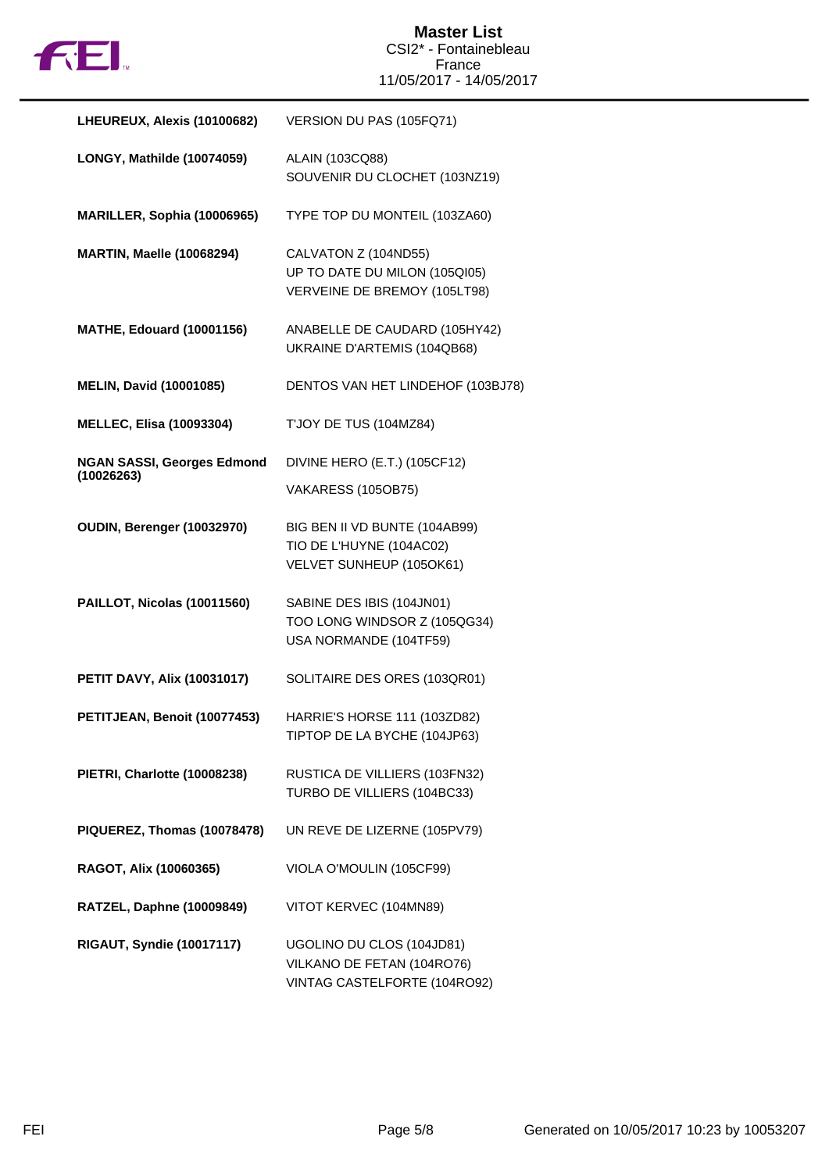

| LHEUREUX, Alexis (10100682)                     | VERSION DU PAS (105FQ71)                                                                |
|-------------------------------------------------|-----------------------------------------------------------------------------------------|
| LONGY, Mathilde (10074059)                      | ALAIN (103CQ88)<br>SOUVENIR DU CLOCHET (103NZ19)                                        |
| MARILLER, Sophia (10006965)                     | TYPE TOP DU MONTEIL (103ZA60)                                                           |
| <b>MARTIN, Maelle (10068294)</b>                | CALVATON Z (104ND55)<br>UP TO DATE DU MILON (105QI05)<br>VERVEINE DE BREMOY (105LT98)   |
| <b>MATHE, Edouard (10001156)</b>                | ANABELLE DE CAUDARD (105HY42)<br>UKRAINE D'ARTEMIS (104QB68)                            |
| <b>MELIN, David (10001085)</b>                  | DENTOS VAN HET LINDEHOF (103BJ78)                                                       |
| <b>MELLEC, Elisa (10093304)</b>                 | <b>T'JOY DE TUS (104MZ84)</b>                                                           |
| <b>NGAN SASSI, Georges Edmond</b><br>(10026263) | DIVINE HERO (E.T.) (105CF12)<br><b>VAKARESS (105OB75)</b>                               |
| OUDIN, Berenger (10032970)                      | BIG BEN II VD BUNTE (104AB99)<br>TIO DE L'HUYNE (104AC02)<br>VELVET SUNHEUP (105OK61)   |
| PAILLOT, Nicolas (10011560)                     | SABINE DES IBIS (104JN01)<br>TOO LONG WINDSOR Z (105QG34)<br>USA NORMANDE (104TF59)     |
| <b>PETIT DAVY, Alix (10031017)</b>              | SOLITAIRE DES ORES (103QR01)                                                            |
| PETITJEAN, Benoit (10077453)                    | HARRIE'S HORSE 111 (103ZD82)<br>TIPTOP DE LA BYCHE (104JP63)                            |
| PIETRI, Charlotte (10008238)                    | RUSTICA DE VILLIERS (103FN32)<br>TURBO DE VILLIERS (104BC33)                            |
| PIQUEREZ, Thomas (10078478)                     | UN REVE DE LIZERNE (105PV79)                                                            |
| RAGOT, Alix (10060365)                          | VIOLA O'MOULIN (105CF99)                                                                |
| RATZEL, Daphne (10009849)                       | VITOT KERVEC (104MN89)                                                                  |
| <b>RIGAUT, Syndie (10017117)</b>                | UGOLINO DU CLOS (104JD81)<br>VILKANO DE FETAN (104RO76)<br>VINTAG CASTELFORTE (104RO92) |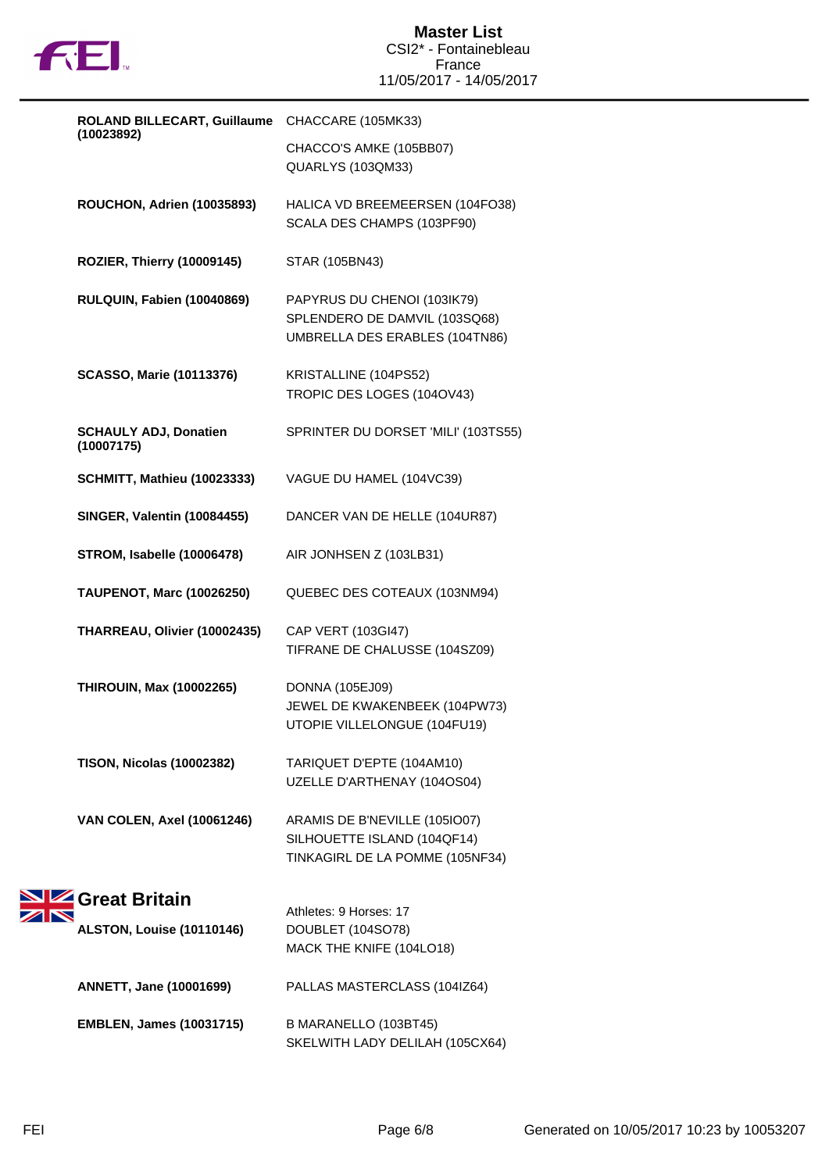

| ROLAND BILLECART, Guillaume CHACCARE (105MK33) |                                            |                                                                                                 |
|------------------------------------------------|--------------------------------------------|-------------------------------------------------------------------------------------------------|
|                                                | (10023892)                                 | CHACCO'S AMKE (105BB07)<br>QUARLYS (103QM33)                                                    |
|                                                | ROUCHON, Adrien (10035893)                 | HALICA VD BREEMEERSEN (104FO38)<br>SCALA DES CHAMPS (103PF90)                                   |
|                                                | ROZIER, Thierry (10009145)                 | STAR (105BN43)                                                                                  |
|                                                | RULQUIN, Fabien (10040869)                 | PAPYRUS DU CHENOI (103IK79)<br>SPLENDERO DE DAMVIL (103SQ68)<br>UMBRELLA DES ERABLES (104TN86)  |
|                                                | <b>SCASSO, Marie (10113376)</b>            | KRISTALLINE (104PS52)<br>TROPIC DES LOGES (104OV43)                                             |
|                                                | <b>SCHAULY ADJ, Donatien</b><br>(10007175) | SPRINTER DU DORSET 'MILI' (103TS55)                                                             |
|                                                | <b>SCHMITT, Mathieu (10023333)</b>         | VAGUE DU HAMEL (104VC39)                                                                        |
|                                                | <b>SINGER, Valentin (10084455)</b>         | DANCER VAN DE HELLE (104UR87)                                                                   |
|                                                | <b>STROM, Isabelle (10006478)</b>          | AIR JONHSEN Z (103LB31)                                                                         |
|                                                | <b>TAUPENOT, Marc (10026250)</b>           | QUEBEC DES COTEAUX (103NM94)                                                                    |
|                                                | THARREAU, Olivier (10002435)               | CAP VERT (103GI47)<br>TIFRANE DE CHALUSSE (104SZ09)                                             |
|                                                | <b>THIROUIN, Max (10002265)</b>            | <b>DONNA (105EJ09)</b><br>JEWEL DE KWAKENBEEK (104PW73)<br>UTOPIE VILLELONGUE (104FU19)         |
|                                                | <b>TISON, Nicolas (10002382)</b>           | TARIQUET D'EPTE (104AM10)<br>UZELLE D'ARTHENAY (104OS04)                                        |
|                                                | <b>VAN COLEN, Axel (10061246)</b>          | ARAMIS DE B'NEVILLE (105IO07)<br>SILHOUETTE ISLAND (104QF14)<br>TINKAGIRL DE LA POMME (105NF34) |
|                                                | Great Britain                              | Athletes: 9 Horses: 17                                                                          |
|                                                | <b>ALSTON, Louise (10110146)</b>           | DOUBLET (104SO78)<br>MACK THE KNIFE (104LO18)                                                   |
|                                                | <b>ANNETT, Jane (10001699)</b>             | PALLAS MASTERCLASS (104IZ64)                                                                    |
|                                                | <b>EMBLEN, James (10031715)</b>            | B MARANELLO (103BT45)<br>SKELWITH LADY DELILAH (105CX64)                                        |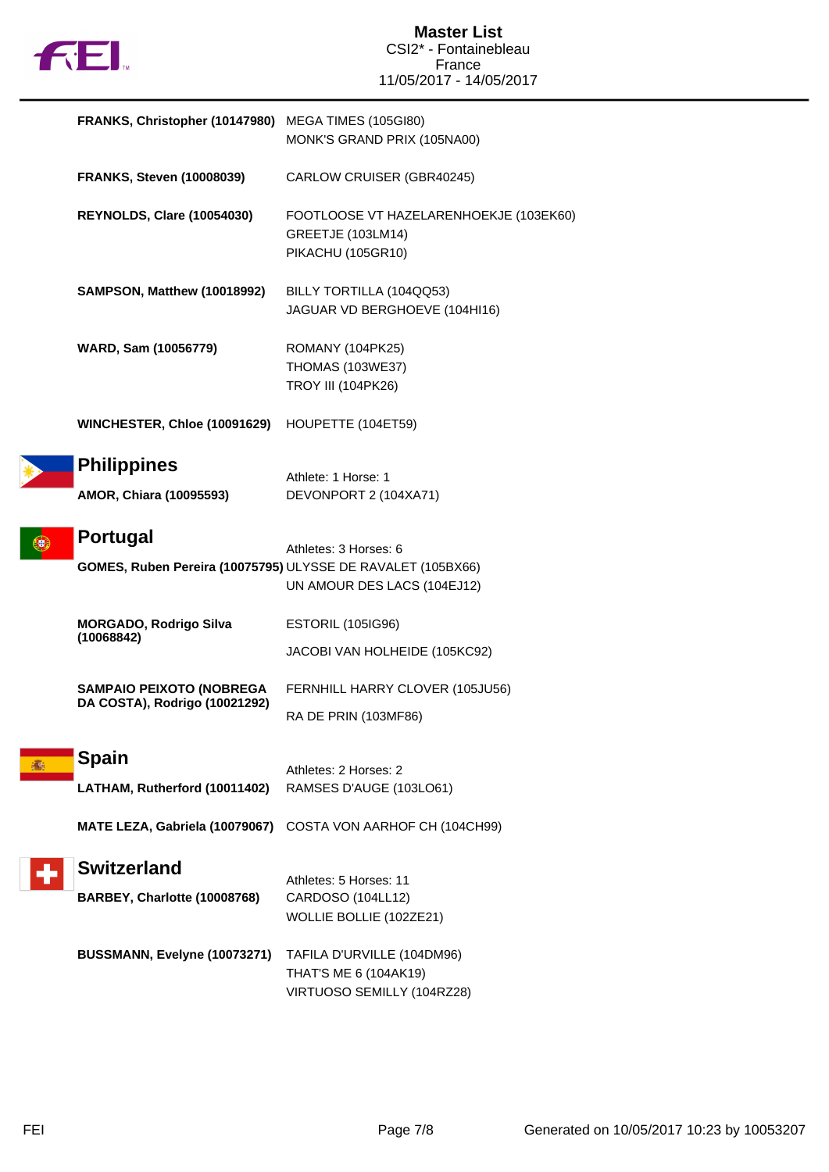

| FRANKS, Christopher (10147980) MEGA TIMES (105GI80)                     | MONK'S GRAND PRIX (105NA00)                                                                    |
|-------------------------------------------------------------------------|------------------------------------------------------------------------------------------------|
| <b>FRANKS, Steven (10008039)</b>                                        | CARLOW CRUISER (GBR40245)                                                                      |
| <b>REYNOLDS, Clare (10054030)</b>                                       | FOOTLOOSE VT HAZELARENHOEKJE (103EK60)<br><b>GREETJE (103LM14)</b><br><b>PIKACHU (105GR10)</b> |
| SAMPSON, Matthew (10018992)                                             | BILLY TORTILLA (104QQ53)<br>JAGUAR VD BERGHOEVE (104HI16)                                      |
| WARD, Sam (10056779)                                                    | ROMANY (104PK25)<br><b>THOMAS (103WE37)</b><br><b>TROY III (104PK26)</b>                       |
| WINCHESTER, Chloe (10091629)                                            | HOUPETTE (104ET59)                                                                             |
| <b>Philippines</b><br>AMOR, Chiara (10095593)                           | Athlete: 1 Horse: 1<br>DEVONPORT 2 (104XA71)                                                   |
| Portugal<br>GOMES, Ruben Pereira (10075795) ULYSSE DE RAVALET (105BX66) | Athletes: 3 Horses: 6<br>UN AMOUR DES LACS (104EJ12)                                           |
| <b>MORGADO, Rodrigo Silva</b><br>(10068842)                             | <b>ESTORIL (105IG96)</b><br>JACOBI VAN HOLHEIDE (105KC92)                                      |
| <b>SAMPAIO PEIXOTO (NOBREGA</b><br>DA COSTA), Rodrigo (10021292)        | FERNHILL HARRY CLOVER (105JU56)<br>RA DE PRIN (103MF86)                                        |
| <b>Spain</b><br>LATHAM, Rutherford (10011402)                           | Athletes: 2 Horses: 2<br>RAMSES D'AUGE (103LO61)                                               |
| MATE LEZA, Gabriela (10079067)                                          | COSTA VON AARHOF CH (104CH99)                                                                  |
| <b>Switzerland</b><br>BARBEY, Charlotte (10008768)                      | Athletes: 5 Horses: 11<br>CARDOSO (104LL12)<br>WOLLIE BOLLIE (102ZE21)                         |
| BUSSMANN, Evelyne (10073271)                                            | TAFILA D'URVILLE (104DM96)<br>THAT'S ME 6 (104AK19)<br>VIRTUOSO SEMILLY (104RZ28)              |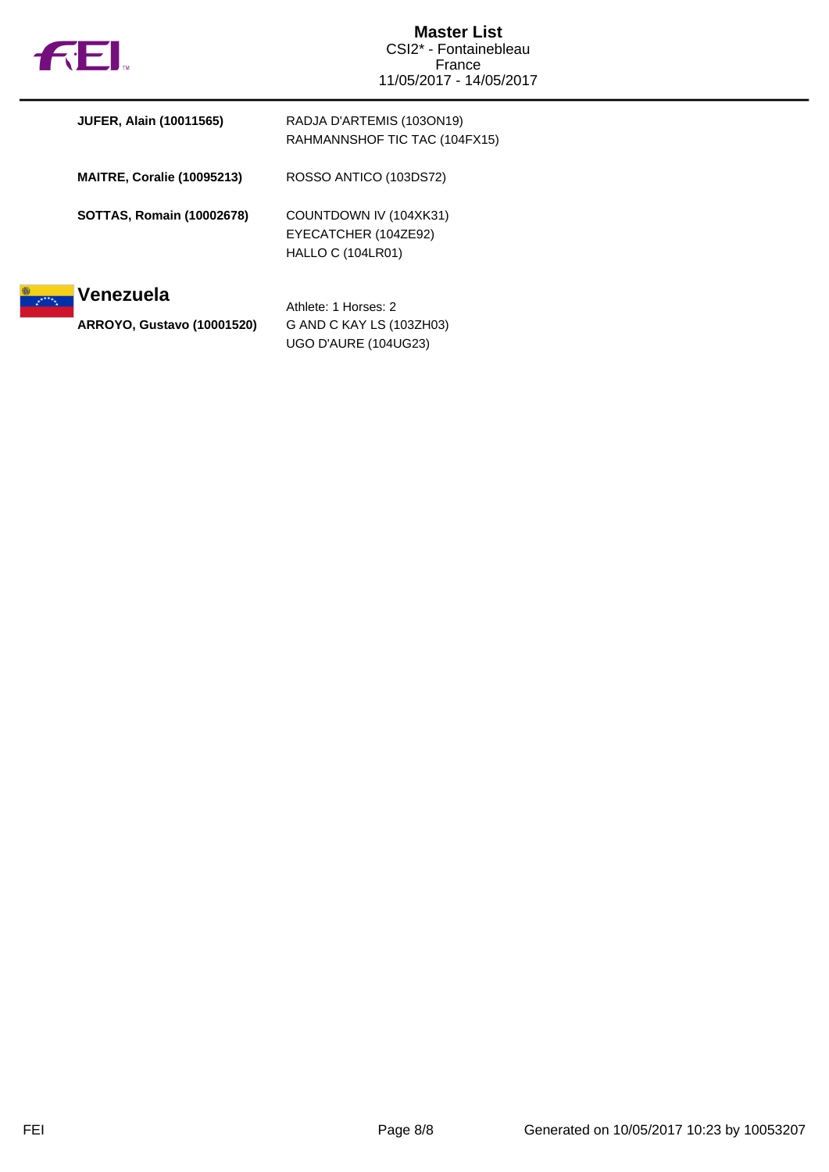

| <b>JUFER, Alain (10011565)</b>    | RADJA D'ARTEMIS (103ON19)<br>RAHMANNSHOF TIC TAC (104FX15)                 |
|-----------------------------------|----------------------------------------------------------------------------|
| <b>MAITRE, Coralie (10095213)</b> | ROSSO ANTICO (103DS72)                                                     |
| <b>SOTTAS, Romain (10002678)</b>  | COUNTDOWN IV (104XK31)<br>EYECATCHER (104ZE92)<br><b>HALLO C (104LR01)</b> |
| Venezuela                         | Athlete: 1 Horses: 2                                                       |
| <b>ARROYO, Gustavo (10001520)</b> | G AND C KAY LS (103ZH03)<br>UGO D'AURE (104UG23)                           |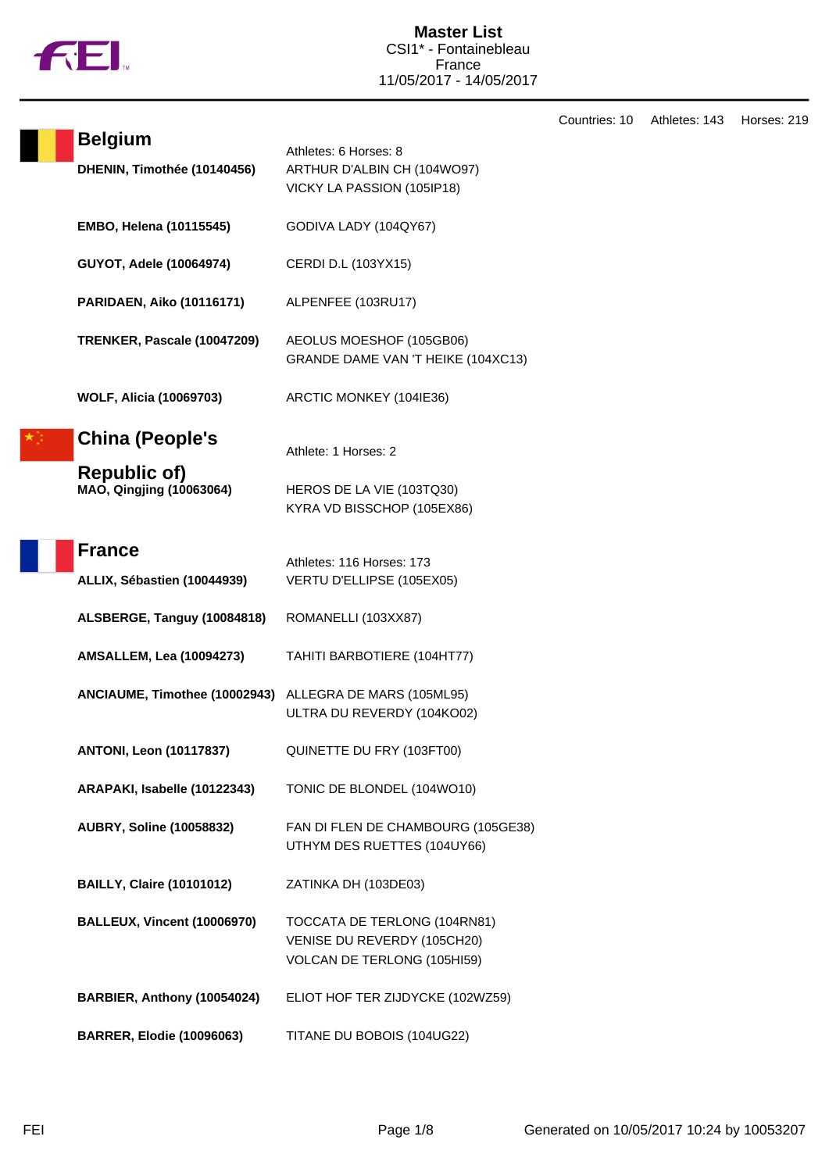

|                                               |                                                                                            | Countries: 10 | Athletes: 143 | Horses: 219 |
|-----------------------------------------------|--------------------------------------------------------------------------------------------|---------------|---------------|-------------|
| <b>Belgium</b><br>DHENIN, Timothée (10140456) | Athletes: 6 Horses: 8<br>ARTHUR D'ALBIN CH (104WO97)<br>VICKY LA PASSION (105IP18)         |               |               |             |
| <b>EMBO, Helena (10115545)</b>                | GODIVA LADY (104QY67)                                                                      |               |               |             |
| GUYOT, Adele (10064974)                       | CERDI D.L (103YX15)                                                                        |               |               |             |
| <b>PARIDAEN, Aiko (10116171)</b>              | ALPENFEE (103RU17)                                                                         |               |               |             |
| TRENKER, Pascale (10047209)                   | AEOLUS MOESHOF (105GB06)<br>GRANDE DAME VAN 'T HEIKE (104XC13)                             |               |               |             |
| <b>WOLF, Alicia (10069703)</b>                | ARCTIC MONKEY (104IE36)                                                                    |               |               |             |
| <b>China (People's</b><br><b>Republic of)</b> | Athlete: 1 Horses: 2                                                                       |               |               |             |
| MAO, Qingjing (10063064)                      | HEROS DE LA VIE (103TQ30)<br>KYRA VD BISSCHOP (105EX86)                                    |               |               |             |
| <b>France</b><br>ALLIX, Sébastien (10044939)  | Athletes: 116 Horses: 173<br>VERTU D'ELLIPSE (105EX05)                                     |               |               |             |
| ALSBERGE, Tanguy (10084818)                   | ROMANELLI (103XX87)                                                                        |               |               |             |
| <b>AMSALLEM, Lea (10094273)</b>               | TAHITI BARBOTIERE (104HT77)                                                                |               |               |             |
| ANCIAUME, Timothee (10002943)                 | ALLEGRA DE MARS (105ML95)<br>ULTRA DU REVERDY (104KO02)                                    |               |               |             |
| <b>ANTONI, Leon (10117837)</b>                | QUINETTE DU FRY (103FT00)                                                                  |               |               |             |
| ARAPAKI, Isabelle (10122343)                  | TONIC DE BLONDEL (104WO10)                                                                 |               |               |             |
| <b>AUBRY, Soline (10058832)</b>               | FAN DI FLEN DE CHAMBOURG (105GE38)<br>UTHYM DES RUETTES (104UY66)                          |               |               |             |
| <b>BAILLY, Claire (10101012)</b>              | ZATINKA DH (103DE03)                                                                       |               |               |             |
| <b>BALLEUX, Vincent (10006970)</b>            | TOCCATA DE TERLONG (104RN81)<br>VENISE DU REVERDY (105CH20)<br>VOLCAN DE TERLONG (105HI59) |               |               |             |
| BARBIER, Anthony (10054024)                   | ELIOT HOF TER ZIJDYCKE (102WZ59)                                                           |               |               |             |
| <b>BARRER, Elodie (10096063)</b>              | TITANE DU BOBOIS (104UG22)                                                                 |               |               |             |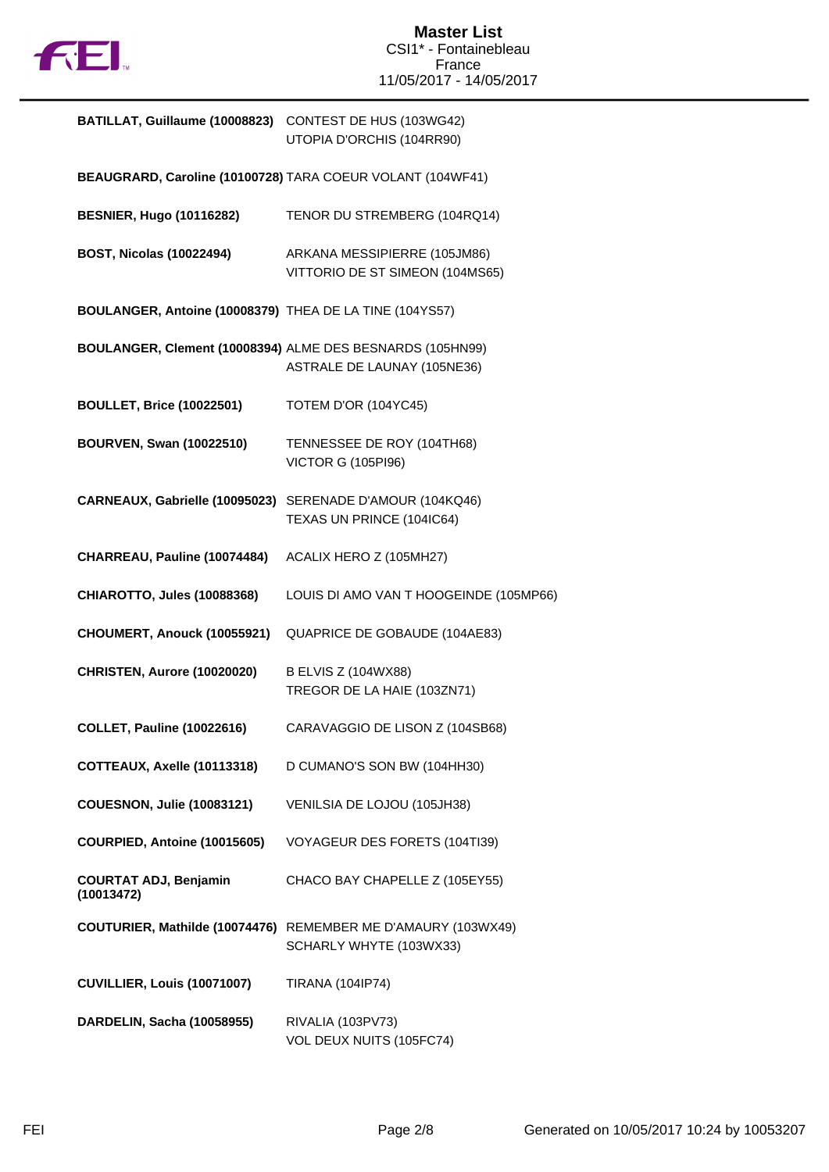

| BATILLAT, Guillaume (10008823) CONTEST DE HUS (103WG42)   | UTOPIA D'ORCHIS (104RR90)                                                                |
|-----------------------------------------------------------|------------------------------------------------------------------------------------------|
|                                                           | BEAUGRARD, Caroline (10100728) TARA COEUR VOLANT (104WF41)                               |
| <b>BESNIER, Hugo (10116282)</b>                           | TENOR DU STREMBERG (104RQ14)                                                             |
| <b>BOST, Nicolas (10022494)</b>                           | ARKANA MESSIPIERRE (105JM86)<br>VITTORIO DE ST SIMEON (104MS65)                          |
| BOULANGER, Antoine (10008379) THEA DE LA TINE (104YS57)   |                                                                                          |
|                                                           | BOULANGER, Clement (10008394) ALME DES BESNARDS (105HN99)<br>ASTRALE DE LAUNAY (105NE36) |
| <b>BOULLET, Brice (10022501)</b>                          | TOTEM D'OR (104YC45)                                                                     |
| <b>BOURVEN, Swan (10022510)</b>                           | TENNESSEE DE ROY (104TH68)<br><b>VICTOR G (105PI96)</b>                                  |
| CARNEAUX, Gabrielle (10095023) SERENADE D'AMOUR (104KQ46) | TEXAS UN PRINCE (104IC64)                                                                |
| CHARREAU, Pauline (10074484)                              | ACALIX HERO Z (105MH27)                                                                  |
| <b>CHIAROTTO, Jules (10088368)</b>                        | LOUIS DI AMO VAN T HOOGEINDE (105MP66)                                                   |
| CHOUMERT, Anouck (10055921)                               | QUAPRICE DE GOBAUDE (104AE83)                                                            |
| CHRISTEN, Aurore (10020020)                               | <b>B ELVIS Z (104WX88)</b><br>TREGOR DE LA HAIE (103ZN71)                                |
| <b>COLLET, Pauline (10022616)</b>                         | CARAVAGGIO DE LISON Z (104SB68)                                                          |
| COTTEAUX, Axelle (10113318)                               | D CUMANO'S SON BW (104HH30)                                                              |
| <b>COUESNON, Julie (10083121)</b>                         | VENILSIA DE LOJOU (105JH38)                                                              |
| COURPIED, Antoine (10015605)                              | VOYAGEUR DES FORETS (104TI39)                                                            |
| <b>COURTAT ADJ, Benjamin</b><br>(10013472)                | CHACO BAY CHAPELLE Z (105EY55)                                                           |
|                                                           | COUTURIER, Mathilde (10074476) REMEMBER ME D'AMAURY (103WX49)<br>SCHARLY WHYTE (103WX33) |
| CUVILLIER, Louis (10071007)                               | <b>TIRANA (104IP74)</b>                                                                  |
| DARDELIN, Sacha (10058955)                                | RIVALIA (103PV73)<br>VOL DEUX NUITS (105FC74)                                            |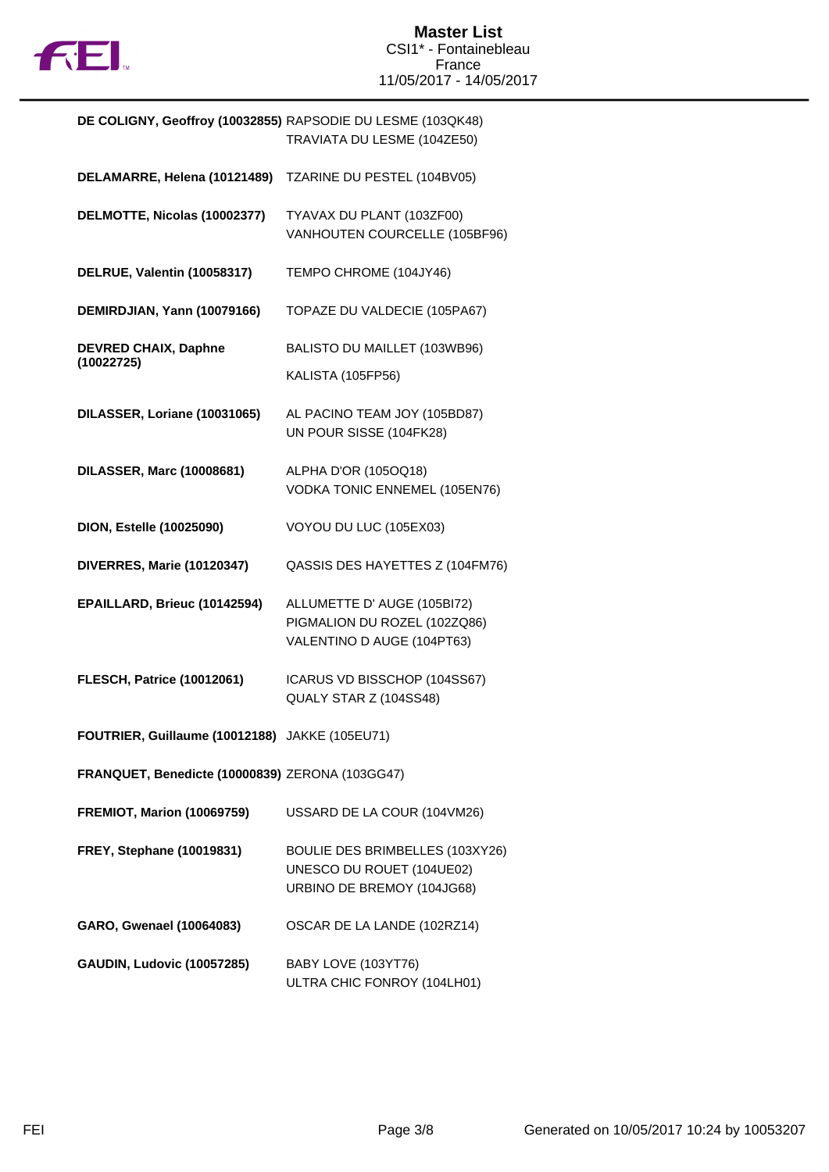

| DE COLIGNY, Geoffroy (10032855) RAPSODIE DU LESME (103QK48) | TRAVIATA DU LESME (104ZE50)                                                                |
|-------------------------------------------------------------|--------------------------------------------------------------------------------------------|
| DELAMARRE, Helena (10121489)                                | TZARINE DU PESTEL (104BV05)                                                                |
| DELMOTTE, Nicolas (10002377)                                | TYAVAX DU PLANT (103ZF00)<br>VANHOUTEN COURCELLE (105BF96)                                 |
| DELRUE, Valentin (10058317)                                 | TEMPO CHROME (104JY46)                                                                     |
| DEMIRDJIAN, Yann (10079166)                                 | TOPAZE DU VALDECIE (105PA67)                                                               |
| <b>DEVRED CHAIX, Daphne</b><br>(10022725)                   | BALISTO DU MAILLET (103WB96)<br><b>KALISTA (105FP56)</b>                                   |
| DILASSER, Loriane (10031065)                                | AL PACINO TEAM JOY (105BD87)<br>UN POUR SISSE (104FK28)                                    |
| DILASSER, Marc (10008681)                                   | ALPHA D'OR (105OQ18)<br>VODKA TONIC ENNEMEL (105EN76)                                      |
| <b>DION, Estelle (10025090)</b>                             | VOYOU DU LUC (105EX03)                                                                     |
| DIVERRES, Marie (10120347)                                  | QASSIS DES HAYETTES Z (104FM76)                                                            |
| EPAILLARD, Brieuc (10142594)                                | ALLUMETTE D' AUGE (105BI72)<br>PIGMALION DU ROZEL (102ZQ86)<br>VALENTINO D AUGE (104PT63)  |
| <b>FLESCH, Patrice (10012061)</b>                           | ICARUS VD BISSCHOP (104SS67)<br>QUALY STAR Z (104SS48)                                     |
| FOUTRIER, Guillaume (10012188) JAKKE (105EU71)              |                                                                                            |
| FRANQUET, Benedicte (10000839) ZERONA (103GG47)             |                                                                                            |
| <b>FREMIOT, Marion (10069759)</b>                           | USSARD DE LA COUR (104VM26)                                                                |
| <b>FREY, Stephane (10019831)</b>                            | BOULIE DES BRIMBELLES (103XY26)<br>UNESCO DU ROUET (104UE02)<br>URBINO DE BREMOY (104JG68) |
| GARO, Gwenael (10064083)                                    | OSCAR DE LA LANDE (102RZ14)                                                                |
| <b>GAUDIN, Ludovic (10057285)</b>                           | BABY LOVE (103YT76)                                                                        |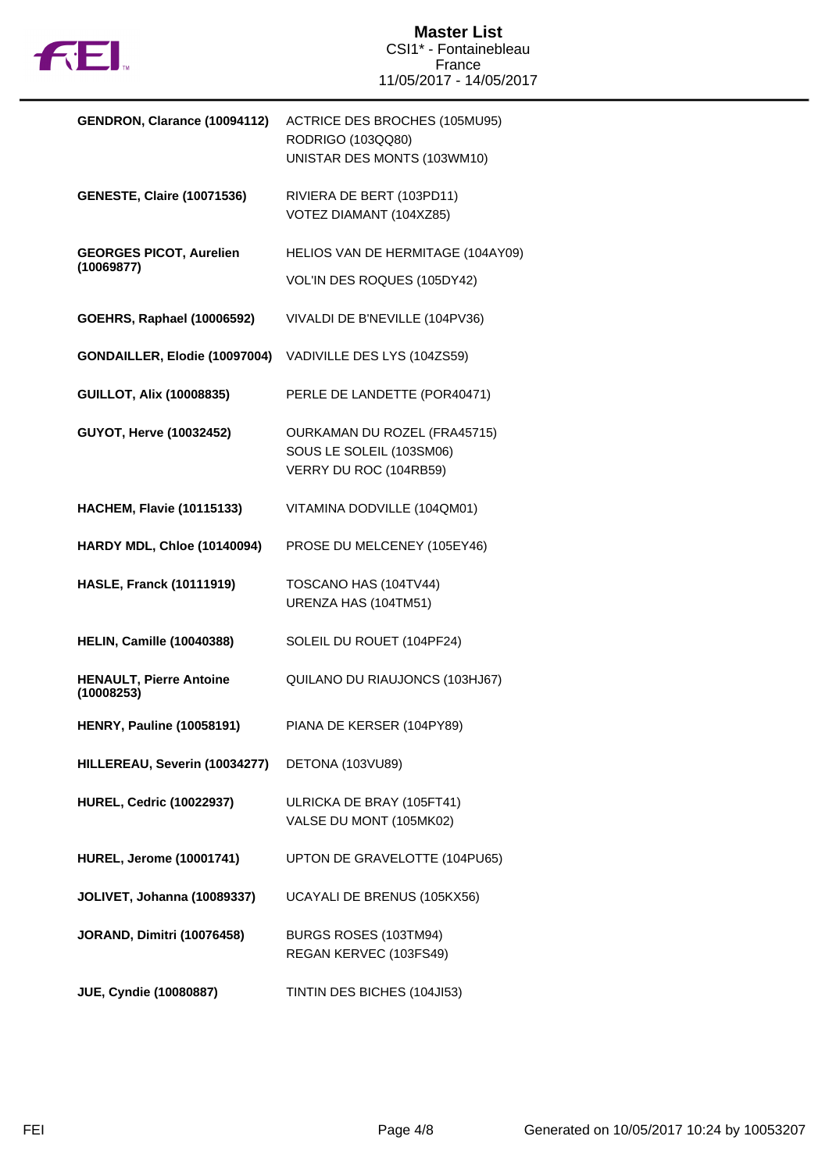

| ACTRICE DES BROCHES (105MU95)<br>RODRIGO (103QQ80)<br>UNISTAR DES MONTS (103WM10) |
|-----------------------------------------------------------------------------------|
|                                                                                   |
| RIVIERA DE BERT (103PD11)<br>VOTEZ DIAMANT (104XZ85)                              |
| HELIOS VAN DE HERMITAGE (104AY09)                                                 |
| VOL'IN DES ROQUES (105DY42)                                                       |
| VIVALDI DE B'NEVILLE (104PV36)                                                    |
| GONDAILLER, Elodie (10097004)<br>VADIVILLE DES LYS (104ZS59)                      |
| PERLE DE LANDETTE (POR40471)                                                      |
| OURKAMAN DU ROZEL (FRA45715)                                                      |
| SOUS LE SOLEIL (103SM06)                                                          |
| VERRY DU ROC (104RB59)                                                            |
| VITAMINA DODVILLE (104QM01)                                                       |
| PROSE DU MELCENEY (105EY46)                                                       |
| TOSCANO HAS (104TV44)                                                             |
| URENZA HAS (104TM51)                                                              |
| SOLEIL DU ROUET (104PF24)                                                         |
| QUILANO DU RIAUJONCS (103HJ67)                                                    |
| PIANA DE KERSER (104PY89)                                                         |
| DETONA (103VU89)                                                                  |
|                                                                                   |
| ULRICKA DE BRAY (105FT41)                                                         |
| VALSE DU MONT (105MK02)                                                           |
| UPTON DE GRAVELOTTE (104PU65)                                                     |
| UCAYALI DE BRENUS (105KX56)                                                       |
| BURGS ROSES (103TM94)                                                             |
| REGAN KERVEC (103FS49)                                                            |
| TINTIN DES BICHES (104JI53)                                                       |
|                                                                                   |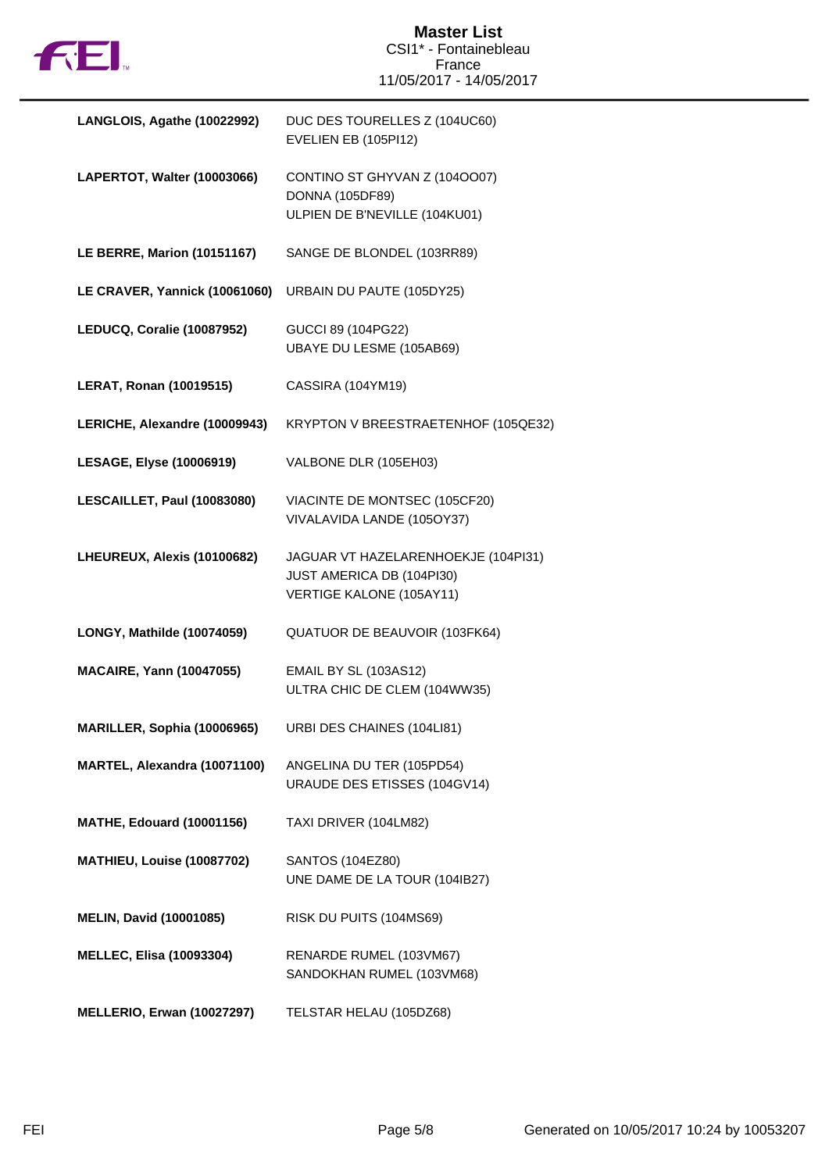

| LANGLOIS, Agathe (10022992)        | DUC DES TOURELLES Z (104UC60)<br>EVELIEN EB (105PI12)                                        |
|------------------------------------|----------------------------------------------------------------------------------------------|
| LAPERTOT, Walter (10003066)        | CONTINO ST GHYVAN Z (1040007)<br><b>DONNA (105DF89)</b><br>ULPIEN DE B'NEVILLE (104KU01)     |
| <b>LE BERRE, Marion (10151167)</b> | SANGE DE BLONDEL (103RR89)                                                                   |
| LE CRAVER, Yannick (10061060)      | URBAIN DU PAUTE (105DY25)                                                                    |
| LEDUCQ, Coralie (10087952)         | GUCCI 89 (104PG22)<br>UBAYE DU LESME (105AB69)                                               |
| <b>LERAT, Ronan (10019515)</b>     | CASSIRA (104YM19)                                                                            |
| LERICHE, Alexandre (10009943)      | KRYPTON V BREESTRAETENHOF (105QE32)                                                          |
| <b>LESAGE, Elyse (10006919)</b>    | VALBONE DLR (105EH03)                                                                        |
| LESCAILLET, Paul (10083080)        | VIACINTE DE MONTSEC (105CF20)<br>VIVALAVIDA LANDE (105OY37)                                  |
| LHEUREUX, Alexis (10100682)        | JAGUAR VT HAZELARENHOEKJE (104PI31)<br>JUST AMERICA DB (104PI30)<br>VERTIGE KALONE (105AY11) |
| LONGY, Mathilde (10074059)         | QUATUOR DE BEAUVOIR (103FK64)                                                                |
| <b>MACAIRE, Yann (10047055)</b>    | <b>EMAIL BY SL (103AS12)</b><br>ULTRA CHIC DE CLEM (104WW35)                                 |
| MARILLER, Sophia (10006965)        | URBI DES CHAINES (104LI81)                                                                   |
| MARTEL, Alexandra (10071100)       | ANGELINA DU TER (105PD54)<br>URAUDE DES ETISSES (104GV14)                                    |
| <b>MATHE, Edouard (10001156)</b>   | TAXI DRIVER (104LM82)                                                                        |
| MATHIEU, Louise (10087702)         | SANTOS (104EZ80)<br>UNE DAME DE LA TOUR (104IB27)                                            |
| <b>MELIN, David (10001085)</b>     | RISK DU PUITS (104MS69)                                                                      |
| <b>MELLEC, Elisa (10093304)</b>    | RENARDE RUMEL (103VM67)<br>SANDOKHAN RUMEL (103VM68)                                         |
| <b>MELLERIO, Erwan (10027297)</b>  | TELSTAR HELAU (105DZ68)                                                                      |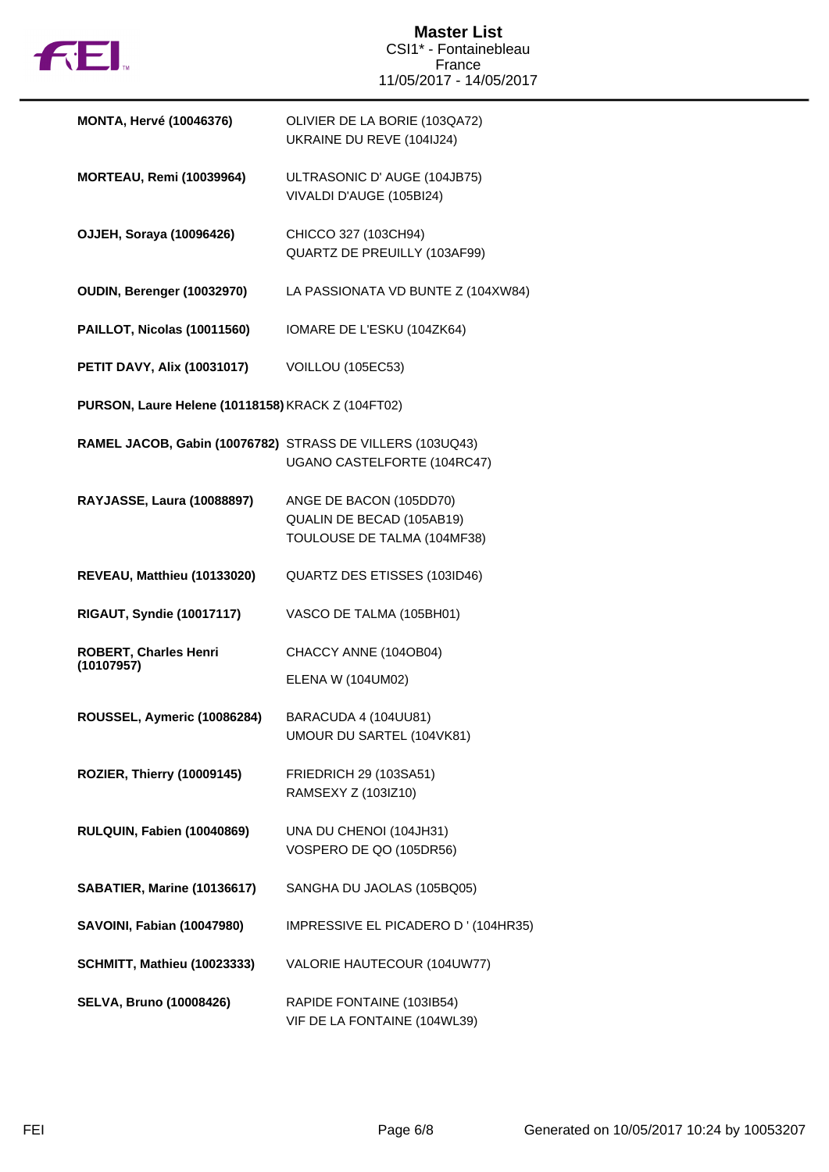

| <b>MONTA, Hervé (10046376)</b>                            | OLIVIER DE LA BORIE (103QA72)<br>UKRAINE DU REVE (104IJ24)                          |
|-----------------------------------------------------------|-------------------------------------------------------------------------------------|
| <b>MORTEAU, Remi (10039964)</b>                           | ULTRASONIC D' AUGE (104JB75)<br>VIVALDI D'AUGE (105BI24)                            |
| <b>OJJEH, Soraya (10096426)</b>                           | CHICCO 327 (103CH94)<br>QUARTZ DE PREUILLY (103AF99)                                |
| OUDIN, Berenger (10032970)                                | LA PASSIONATA VD BUNTE Z (104XW84)                                                  |
| PAILLOT, Nicolas (10011560)                               | IOMARE DE L'ESKU (104ZK64)                                                          |
| <b>PETIT DAVY, Alix (10031017)</b>                        | VOILLOU (105EC53)                                                                   |
| PURSON, Laure Helene (10118158) KRACK Z (104FT02)         |                                                                                     |
| RAMEL JACOB, Gabin (10076782) STRASS DE VILLERS (103UQ43) | UGANO CASTELFORTE (104RC47)                                                         |
| RAYJASSE, Laura (10088897)                                | ANGE DE BACON (105DD70)<br>QUALIN DE BECAD (105AB19)<br>TOULOUSE DE TALMA (104MF38) |
| REVEAU, Matthieu (10133020)                               | QUARTZ DES ETISSES (103ID46)                                                        |
| <b>RIGAUT, Syndie (10017117)</b>                          | VASCO DE TALMA (105BH01)                                                            |
| <b>ROBERT, Charles Henri</b><br>(10107957)                | CHACCY ANNE (104OB04)<br>ELENA W (104UM02)                                          |
| ROUSSEL, Aymeric (10086284)                               | BARACUDA 4 (104UU81)<br>UMOUR DU SARTEL (104VK81)                                   |
| ROZIER, Thierry (10009145)                                | FRIEDRICH 29 (103SA51)<br>RAMSEXY Z (103IZ10)                                       |
| RULQUIN, Fabien (10040869)                                | UNA DU CHENOI (104JH31)<br>VOSPERO DE QO (105DR56)                                  |
| SABATIER, Marine (10136617)                               | SANGHA DU JAOLAS (105BQ05)                                                          |
| <b>SAVOINI, Fabian (10047980)</b>                         | IMPRESSIVE EL PICADERO D' (104HR35)                                                 |
| <b>SCHMITT, Mathieu (10023333)</b>                        | VALORIE HAUTECOUR (104UW77)                                                         |
| <b>SELVA, Bruno (10008426)</b>                            | RAPIDE FONTAINE (103IB54)<br>VIF DE LA FONTAINE (104WL39)                           |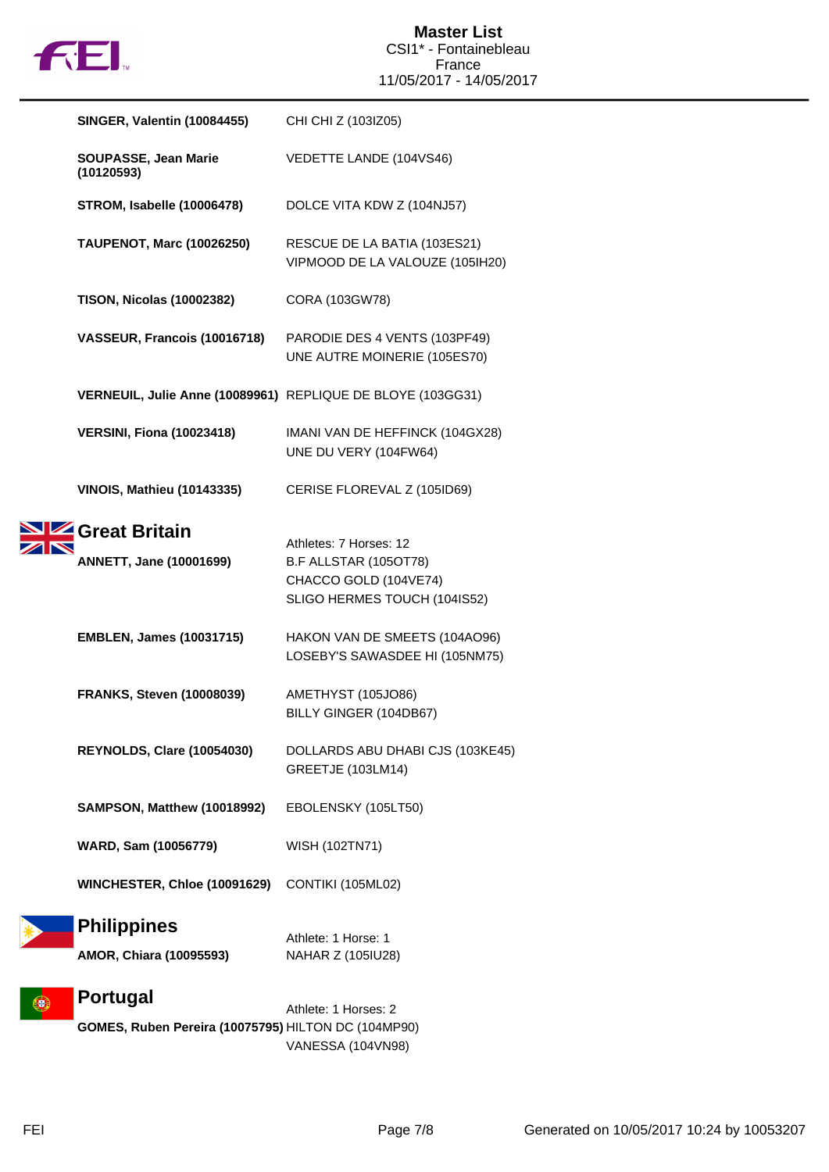

| <b>SINGER, Valentin (10084455)</b>                          | CHI CHI Z (103IZ05)                                             |
|-------------------------------------------------------------|-----------------------------------------------------------------|
| SOUPASSE, Jean Marie<br>(10120593)                          | VEDETTE LANDE (104VS46)                                         |
| <b>STROM, Isabelle (10006478)</b>                           | DOLCE VITA KDW Z (104NJ57)                                      |
| <b>TAUPENOT, Marc (10026250)</b>                            | RESCUE DE LA BATIA (103ES21)<br>VIPMOOD DE LA VALOUZE (105IH20) |
| <b>TISON, Nicolas (10002382)</b>                            | CORA (103GW78)                                                  |
| VASSEUR, Francois (10016718)                                | PARODIE DES 4 VENTS (103PF49)<br>UNE AUTRE MOINERIE (105ES70)   |
| VERNEUIL, Julie Anne (10089961) REPLIQUE DE BLOYE (103GG31) |                                                                 |
| <b>VERSINI, Fiona (10023418)</b>                            | IMANI VAN DE HEFFINCK (104GX28)<br>UNE DU VERY (104FW64)        |
| <b>VINOIS, Mathieu (10143335)</b>                           | CERISE FLOREVAL Z (105ID69)                                     |
| Great Britain                                               |                                                                 |
| <b>ANNETT, Jane (10001699)</b>                              | Athletes: 7 Horses: 12<br>B.F ALLSTAR (105OT78)                 |
|                                                             | CHACCO GOLD (104VE74)<br>SLIGO HERMES TOUCH (104IS52)           |
| <b>EMBLEN, James (10031715)</b>                             | HAKON VAN DE SMEETS (104AO96)<br>LOSEBY'S SAWASDEE HI (105NM75) |
| <b>FRANKS, Steven (10008039)</b>                            | AMETHYST (105JO86)<br>BILLY GINGER (104DB67)                    |
| REYNOLDS, Clare (10054030)                                  | DOLLARDS ABU DHABI CJS (103KE45)<br><b>GREETJE (103LM14)</b>    |
| <b>SAMPSON, Matthew (10018992)</b>                          | EBOLENSKY (105LT50)                                             |
| WARD, Sam (10056779)                                        | WISH (102TN71)                                                  |
| WINCHESTER, Chloe (10091629)                                | CONTIKI (105ML02)                                               |
| <b>Philippines</b>                                          |                                                                 |
| AMOR, Chiara (10095593)                                     | Athlete: 1 Horse: 1<br>NAHAR Z (105IU28)                        |
| <b>Portugal</b>                                             | Athlete: 1 Horses: 2                                            |
| GOMES, Ruben Pereira (10075795) HILTON DC (104MP90)         |                                                                 |

VANESSA (104VN98)